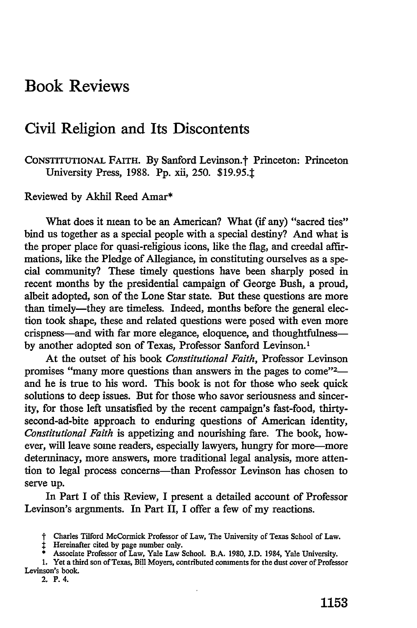## Book Reviews

### Civil Religion and Its Discontents

CONSTITUTIONAL FAITH. By Sanford Levinson.<sup>†</sup> Princeton: Princeton University Press, 1988. Pp. xii, 250. \$19.95.:

Reviewed by Akhil Reed Amar\*

What does it mean to be an American? What (if any) "sacred ties" bind us together as a special people with a special destiny? And what is the proper place for quasi-religious icons, like the flag, and creedal affirmations, like the Pledge of Allegiance, in constituting ourselves as a special community? These timely questions have been sharply posed in recent months by the presidential campaign of George Bush, a proud, albeit adopted, son of the Lone Star state. But these questions are more than timely-they are timeless. Indeed, months before the general election took shape, these and related questions were posed with even more crispness-and with far more elegance, eloquence, and thoughtfulnessby another adopted son of Texas, Professor Sanford Levinson.<sup>1</sup>

At the outset of his book *Constitutional Faith,* Professor Levinson promises "many more questions than answers in the pages to come"<sup>2</sup>and he is true to his word. This book is not for those who seek quick solutions to deep issues. But for those who savor seriousness and sincerity, for those left unsatisfied by the recent campaign's fast-food, thirtysecond-ad-bite approach to enduring questions of American identity, *Constitutional Faith* is appetizing and nourishing fare. The book, however, will leave some readers, especially lawyers, hungry for more-more determinacy, more answers, more traditional legal analysis, more attention to legal process concerns-than Professor Levinson has chosen to serve up.

In Part I of this Review, I present a detailed account of Professor Levinson's arguments. In Part II, I offer a few of my reactions.

**1.** Yet a third son of Texas, Bill Moyers, contributed comments for the dust cover of Professor Levinson's book.

**f** Charles Tilford McCormick Professor of Law, The University of Texas School of Law.

Associate Professor of Law, Yale Law School. B.A. 1980, J.D. 1984, Yale University.

<sup>2.</sup> P. 4.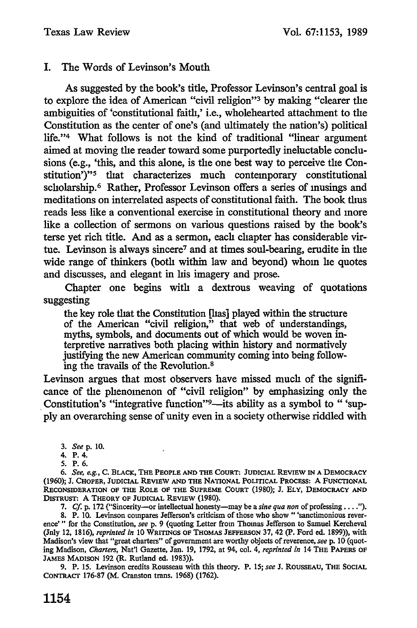### I. The Words of Levinson's Mouth

As suggested by the book's title, Professor Levinson's central goal is to explore the idea of American "civil religion"<sup>3</sup> by making "clearer the ambiguities of 'constitutional faith,' i.e., wholehearted attachment to the Constitution as the center of one's (and ultimately the nation's) political life."<sup>4</sup> What follows is not the kind of traditional "linear argument" aimed at moving the reader toward some purportedly ineluctable conclusions (e.g., 'this, and this alone, is the one best way to perceive the Constitution')"<sup>5</sup> that characterizes much contemporary constitutional scholarship.<sup>6</sup> Rather, Professor Levinson offers a series of musings and meditations on interrelated aspects of constitutional faith. The book thus reads less like a conventional exercise in constitutional theory and more like a collection of sermons on various questions raised by the book's terse yet rich title. And as a sermon, each chapter has considerable virtue. Levinson is always sincere7 and at times soul-bearing, erudite in the wide range of thinkers (both within law and beyond) whom he quotes and discusses, and elegant in his imagery and prose.

Chapter one begins with a dextrous weaving of quotations suggesting

the key role that the Constitution [has] played within the structure of the American "civil religion," that web of understandings, myths, symbols, and documents out of which would be woven **in**terpretive narratives both placing within history and normatively justifying the new American community coming into being following the travails of the Revolution.<sup>8</sup>

Levinson argues that most observers have missed much of the significance of the phenomenon of "civil religion" by emphasizing only the Constitution's "integrative function" 9—its ability as a symbol to "'supply an overarching sense of unity even in a society otherwise riddled with

4. P. 4.

5. P. 6.

**6.** *See, e.g.,* **C.** BLACK, THE **PEOPLE AND** THE **COURT: JUDICIAL REVIEW** IN **A** DEMOCRACY **(1960); J.** CHOPER, JUDICIAL REVIEW **AND** THE NATIONAL POLITICAL PROCESS: **A** FUNCTIONAL RECONSIDERATION OF THE ROLE OF THE **SUPREME COURT (1980); J. ELY,** DEMOCRACY **AND** DISTRUST: **A** THEORY **OF JUDICIAL** REVIEW **(1980).**

*7. Cf.* **p. 172** ("Sincerity-or intellectual honesty-may be a *sine qua non* of professing **....**

**8.** P. **10.** Levinson compares Jefferson's criticism of those who show "'sanctimonious reverence'" for the Constitution, see p. 9 (quoting Letter from Thomas Jefferson to Samuel Kercheva (July 12, **1816),** *reprinted in* **10** WRITINGS OF THOMAS **JEFFERSON 37,** 42 (P. Ford ed. **1899)),** with Madison's view that "great charters" of government are worthy objects of reverence, *see p.* **10** (quoting Madison, *Charters,* Nat'l Gazette, Jan. **19, 1792,** at 94, col. *4, reprinted in* 14 THE PAPERS OF **JAMES** MADISON **192** (R. Rutland ed. **1983)).**

**9.** P. **15.** Levinson credits Rousseau with this theory. P. **15;** *see* **J.** ROUSSEAU, THE SOCIAL CONTRACT 176-87 (M. Cranston trans. **1968) (1762).**

*<sup>3.</sup> See* p. 10.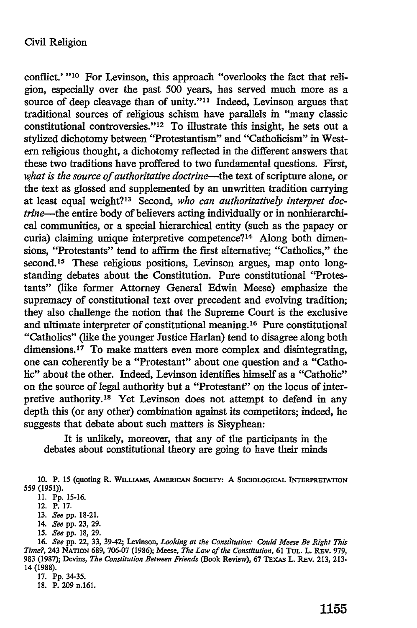conflict.' **"10** For Levinson, this approach "overlooks the fact that religion, especially over the past 500 years, has served much more as a source of deep cleavage than of unity."<sup>11</sup> Indeed, Levinson argues that traditional sources of religious schism have parallels in "many classic constitutional controversies."<sup>12</sup> To illustrate this insight, he sets out a stylized dichotomy between "Protestantism" and "Catholicism" in Western religious thought, a dichotomy reflected in the different answers that these two traditions have proffered to two fundamental questions. First, *what is the source of authoritative doctrine-the* text of scripture alone, or the text as glossed and supplemented by an unwritten tradition carrying at least equal weight?13 Second, *who can authoritatively interpret doctrine-the* entire body of believers acting individually or in nonhierarchical communities, or a special hierarchical entity (such as the papacy or curia) claiming umque interpretive competence?<sup>14</sup> Along both dimensions, "Protestants" tend to affirm the first alternative; "Catholics," the second.<sup>15</sup> These religious positions, Levinson argues, map onto longstanding debates about the Constitution. Pure constitutional "Protestants" (like former Attorney General Edwin Meese) emphasize the supremacy of constitutional text over precedent and evolving tradition; they also challenge the notion that the Supreme Court is the exclusive and ultimate interpreter of constitutional meaning.<sup>16</sup> Pure constitutional "Catholics" (like the younger Justice Harlan) tend to disagree along both dimensions.<sup>17</sup> To make matters even more complex and disintegrating, one can coherently be a "Protestant" about one question and a "Catholic" about the other. Indeed, Levinson identifies himself as a "Catholic" on the source of legal authority but a "Protestant" on the locus of interpretive authority.<sup>18</sup> Yet Levinson does not attempt to defend in any depth this (or any other) combination against its competitors; indeed, he suggests that debate about such matters is Sisyphean:

It is unlikely, moreover, that any of the participants in the debates about constitutional theory are going to have their minds

**<sup>10.</sup> P. 15** (quoting **R. WILLIAMS, AMERICAN SOCIETY: A SOCIOLOGICAL INTERPRETATION** *559* **(1951)).**

**<sup>11.</sup> Pp. 15-16.**

<sup>12.</sup> **P. 17.**

**<sup>13.</sup>** *See* **pp. 18-21.**

<sup>14.</sup> *See* **pp. 23, 29.** *15. See* **pp. 18, 29.**

**<sup>16.</sup>** *See* **pp. 22, 33,** 39-42; Levinson, *Looking at the Constitution: Could Meese Be Right This Time?,* **243 NATION 689, 706-07 (1986);** Meese, *The Law of the Constitution,* **61** TUL. L. REv. **979, 983 (1987);** Devins, *The Constitution Between Friends* (Book Review), **67** TEXAS L. **REv. 213, 213- 14 (1988).**

**<sup>17.</sup> Pp.** 34-35.

**<sup>18.</sup>** P. **209** n.161.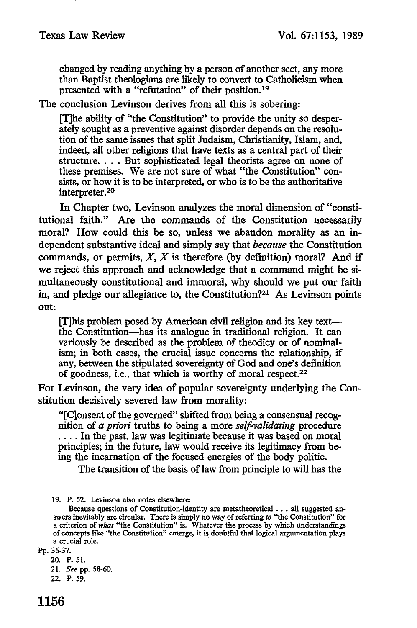changed by reading anything by a person of another sect, any more than Baptist theologians are likely to convert to Catholicism when presented with a "refutation" of their position.<sup>19</sup>

The conclusion Levinson derives from all this is sobering:

[T]he ability of "the Constitution" to provide the unity so desperately sought as a preventive against disorder depends on the resolution of the same issues that split Judaism, Christianity, Islam, and, indeed, all other religions that have texts as a central part of their structure.... But sophisticated legal theorists agree on none of these premises. We are not sure of what "the Constitution" consists, or how it is to be interpreted, or who is to be the authoritative interpreter.<sup>20</sup>

In Chapter two, Levinson analyzes the moral dimension of "constitutional faith." Are the commands of the Constitution necessarily moral? How could this be so, unless we abandon morality as an independent substantive ideal and simply say that *because* the Constitution commands, or permits,  $X$ ,  $X$  is therefore (by definition) moral? And if we reject this approach and acknowledge that a command might be simultaneously constitutional and immoral, why should we put our faith in, and pledge our allegiance to, the Constitution?21 As Levinson points out:

[T]his problem posed by American civil religion and its key textthe Constitution—has its analogue in traditional religion. It can variously be described as the problem of theodicy or of nominalism; in both cases, the crucial issue concerns the relationship, if any, between the stipulated sovereignty of God and one's defmition of goodness, i.e., that which is worthy of moral respect.<sup>22</sup>

For Levinson, the very idea of popular sovereignty underlying the Constitution decisively severed law from morality:

"[C]onsent of the governed" shifted from being a consensual recognition of *a priori* truths to being a more *self-validating* procedure **....** In the past, law was legitimate because it was based on moral principles; in the future, law would receive its legitimacy from being the incarnation of the focused energies of the body politic.

The transition of the basis of law from principle to will has the

**19.** P. 52. Levinson also notes elsewhere:

Because questions of Constitution-identity are metatheoretical **...** all suggested answers inevitably are circular. There is simply no way of referring *to* "the Constitution" for a criterion of *what* "the Constitution" is. Whatever the process **by** which understandings of concepts like "the Constitution" emerge, it is doubtful that logical argumentation plays a crucial role.

- 20. P. **51.**
- 21. *See* pp. 58-60.

**Pp.** 36-37.

<sup>22.</sup> P. **59.**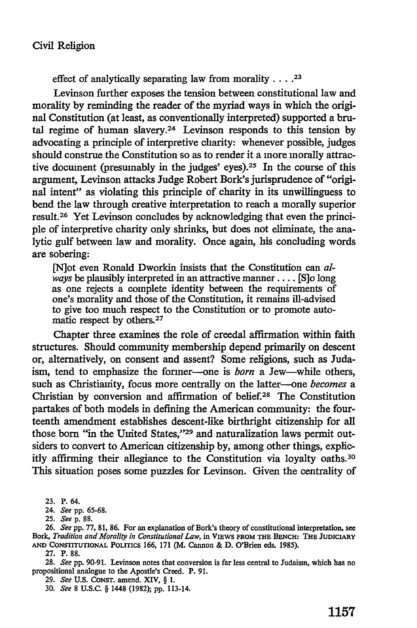effect of analytically separating law from morality **.... 23**

Levinson further exposes the tension between constitutional law and morality by reminding the reader of the myriad ways in which the original Constitution (at least, as conventionally interpreted) supported a brutal regime of human slavery.24 Levinson responds to this tension by advocating a principle of interpretive charity: whenever possible, judges should construe the Constitution so as to render it a more morally attractive document (presumably in the judges' eyes).25 In the course of this argument, Levinson attacks Judge Robert Bork's jurisprudence of "original intent" as violating this principle of charity in its unwillingness to bend the law through creative interpretation to reach a morally superior result. 26 Yet Levinson concludes by acknowledging that even the principle of interpretive charity only shrinks, but does not eliminate, the analytic gulf between law and morality. Once again, his concluding words are sobering:

[N]ot even Ronald Dworkin insists that the Constitution can *always* be plausibly interpreted in an attractive manner .... [S]o long as one rejects a complete identity between the requirements of one's morality and those of the Constitution, it remains ill-advised to give too much respect to the Constitution or to promote automatic respect by others.<sup>27</sup>

Chapter three examines the role of creedal affirmation within faith structures. Should community membership depend primarily on descent or, alternatively, on consent and assent? Some religions, such as Judaism, tend to emphasize the former-one is *born* a Jew-while others, such as Christianity, focus more centrally on the latter-one *becomes a* Christian by conversion and affirmation of belief.28 The Constitution partakes of both models in defining the American community: the fourteenth amendment establishes descent-like birthright citizenship for all those born "in the United States,"<sup>29</sup> and naturalization laws permit outsiders to convert to American citizenship by, among other things, explicitly affirming their allegiance to the Constitution via loyalty oaths.<sup>30</sup> This situation poses some puzzles for Levinson. Given the centrality of

*26. See* pp. 77, **81,** 86. For an explanation of Bork's theory of constitutional interpretation, see Bork, *Tradition and Morality in Constitutional Law,* in VIEws FROM THE **BENCH: THE JUDICIARY AND CONSTTUTIONAL POLITICS** 166, 171 (M. Cannon & D. O'Brien eds. 1985).

27. P. 88.

*28. See* pp. 90-91. Levinson notes that conversion is far less central to Judaism, which has no propositional analogue to the Apostle's Creed. P. 91.

29. *See* U.S. CONST. amend. XIV, § 1.

30. *See* 8 U.S.C. § 1448 (1982); pp. 113-14.

<sup>23.</sup> P. 64.

*<sup>24.</sup> See* pp. 65-68.

*<sup>25.</sup> See* p. 88.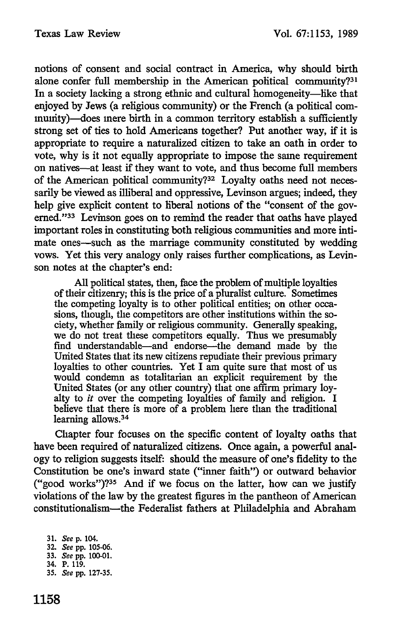notions of consent and social contract in America, why should birth alone confer full membership in the American political community?<sup>31</sup> In a society lacking a strong ethnic and cultural homogeneity-like that enjoyed by Jews (a religious community) or the French (a political community)-does mere birth in a common territory establish a sufficiently strong set of ties to hold Americans together? Put another way, if it is appropriate to require a naturalized citizen to take an oath in order to vote, why is it not equally appropriate to impose the same requirement on natives-at least if they want to vote, and thus become full members of the American political community?32 Loyalty oaths need not necessarily be viewed as illiberal and oppressive, Levinson argues; indeed, they help give explicit content to liberal notions of the "consent of the governed."<sup>33</sup> Levinson goes on to remind the reader that oaths have played important roles in constituting both religious communities and more intimate ones—such as the marriage community constituted by wedding vows. Yet this very analogy only raises further complications, as Levinson notes at the chapter's end:

All political states, then, face the problem of multiple loyalties of their citizenry; this is the price of a pluralist culture. Sometimes the competing loyalty is to other political entities; on other occasions, though, the competitors are other institutions within the society, whether family or religious community. Generally speaking, we do not treat these competitors equally. Thus we presumably find understandable-and endorse-the demand made by the United States that its new citizens repudiate their previous primary loyalties to other countries. Yet I am quite sure that most of us would condemn as totalitarian an explicit requirement by the United States (or any other country) that one affirm primary loyalty to *it* over the competing loyalties of family and religion. I believe that there is more of a problem here than the traditional learning allows.<sup>34</sup>

Chapter four focuses on the specific content of loyalty oaths that have been required of naturalized citizens. Once again, a powerful analogy to religion suggests itself: should the measure of one's fidelity to the Constitution be one's inward state ("inner faith") or outward behavior ("good works")?<sup>35</sup> And if we focus on the latter, how can we justify violations of the law by the greatest figures in the pantheon of American constitutionalism-the Federalist fathers at Philadelphia and Abraham

**31.** See **p.** 104. **32.** See **pp. 105-06. 33.** See **pp. 100-01.** 34. P. **119. 35.** See **pp. 127-35.**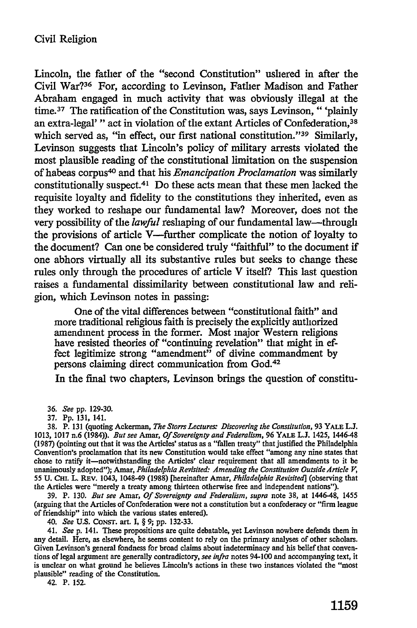Lincoln, the father of the "second Constitution" ushered in after the Civil War?36 For, according to Levinson, Father Madison and Father Abraham engaged in much activity that was obviously illegal at the time.37 The ratification of the Constitution was, says Levinson, " 'plainly an extra-legal' " act in violation of the extant Articles of Confederation, <sup>38</sup> which served as, "in effect, our first national constitution."<sup>39</sup> Similarly, Levinson suggests that Lincoln's policy of military arrests violated the most plausible reading of the constitutional limitation on the suspension of habeas corpus 4° and that his *Emancipation Proclamation* was similarly constitutionally suspect.41 Do these acts mean that these men lacked the requisite loyalty and fidelity to the constitutions they inherited, even as they worked to reshape our fundamental law? Moreover, does not the very possibility of the *lawful* reshaping of our fundamental law-through the provisions of article V—further complicate the notion of loyalty to the document? Can one be considered truly "faithful" to the document if one abhors virtually all its substantive rules but seeks to change these rules only through the procedures of article V itself?. This last question raises a fundamental dissimilarity between constitutional law and religion, which Levinson notes in passing:

One of the vital differences between "constitutional faith" and more traditional religious faith is precisely the explicitly authorized amendment process in the former. Most major Western religions have resisted theories of "continuing revelation" that might in effect legitimize strong "amendment" of divine commandment by persons claiming direct communication from God.<sup>42</sup>

In the final two chapters, Levinson brings the question of constitu-

36. *See* pp. 129-30.

37. Pp. 131, 141.

38. P. 131 (quoting Ackerman, *The Storrs Lectures: Discovering the Constitution,* 93 YALE L.J. 1013, 1017 n.6 (1984)). *But see Amar, Of Sovereignty and Federalism,* 96 YALE **L.J.** 1425, 1446-48 (1987) (pointing out that it was the Articles' status as a "fallen treaty" that justified the Philadelphia Convention's proclamation that its new Constitution would take effect "among any nine states that chose to ratify it-notwithstanding the Articles' clear requirement that all amendments to it be unanimously adopted"); Amar, *Philadelphia Revisited: Amending the Constitution Outside Article V,* 55 U. Cmi. L. REv. 1043, 1048-49 (1988) [hereinafter Amar, *Philadelphia Revisited]* (observing that the Articles were "merely a treaty among thirteen otherwise free and independent nations").

39. P. 130. *But see Amar, Of Sovereignty and Federalism, supra* note 38, at 1446-48, 1455 (arguing that the Articles of Confederation were not a constitution but a confederacy or "firm league of friendship" into which the various states entered).

*40. See U.S.* CONsT. art. I, § 9; pp. 132-33.

41. *See* p. 141. These propositions are quite debatable, yet Levinson nowhere defends them in any detail. Here, as elsewhere, he seems content to rely on the primary analyses of other scholars. Given Levinson's general fondness for broad claims about indeterminacy and his belief that conventions of legal argument are generally contradictory, *see infra* notes 94-100 and accompanying text, it is unclear on what ground he believes Lincoln's actions in these two instances violated the "most plausible" reading of the Constitution.

42. P. 152.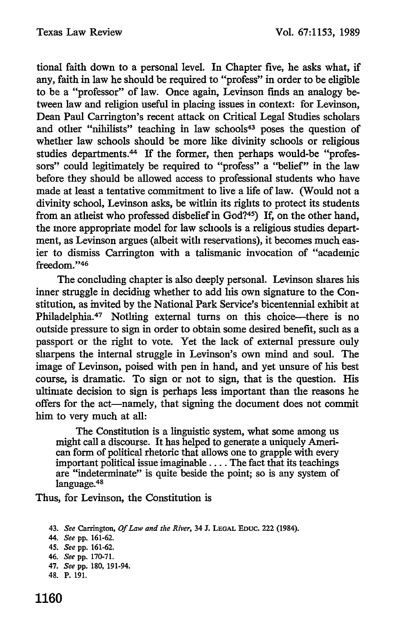tional faith down to a personal level. In Chapter five, he asks what, if any, faith in law he should be required to "profess" in order to be eligible to be a "professor" of law. Once again, Levinson finds an analogy between law and religion useful in placing issues in context: for Levinson, Dean Paul Carrington's recent attack on Critical Legal Studies scholars and other "nihilists" teaching in law schools<sup>43</sup> poses the question of whether law schools should be more like divinity schools or religious studies departments.<sup>44</sup> If the former, then perhaps would-be "professors" could legitimately be required to "profess" a "belief" in the law before they should be allowed access to professional students who have made at least a tentative commitment to live a life of law. (Would not a divinity school, Levinson asks, be within its rights to protect its students from an atheist who professed disbelief in God?<sup>45</sup>) If, on the other hand, the more appropriate model for law schools is a religious studies department, as Levinson argues (albeit with reservations), it becomes much easier to dismiss Carrington with a talismanic invocation of "academic freedom."46

The concluding chapter is also deeply personal. Levinson shares his inner struggle in deciding whether to add his own signature to the Constitution, as invited by the National Park Service's bicentennial exhibit at Philadelphia.<sup>47</sup> Nothing external turns on this choice—there is no outside pressure to sign in order to obtain some desired benefit, such as a passport or the right to vote. Yet the lack of external pressure only sharpens the internal struggle in Levinson's own mind and soul. The image of Levinson, poised with pen in hand, and yet unsure of his best course, is dramatic. To sign or not to sign, that is the question. His ultimate decision to sign is perhaps less important than the reasons he offers for the act-namely, that signing the document does not commit him to very much at all:

The Constitution is a linguistic system, what some among us might call a discourse. It has helped to generate a uniquely American form of political rhetoric that allows one to grapple with every important political issue imaginable .... The fact that its teachings are "indeterminate" is quite beside the point; so is any system of language.<sup>48</sup>

Thus, for Levinson, the Constitution is

- 44. *See* **pp. 161-62.**
- 45. *See* **pp. 161-62.**
- 46. *See* **pp. 170-71.**
- 47. *See* **pp. 180,** 191-94.
- 48. P. **191.**

<sup>43.</sup> *See* Carrington, *Of Law and the River,* 34 **J. LEGAL EDUC.** 222 (1984).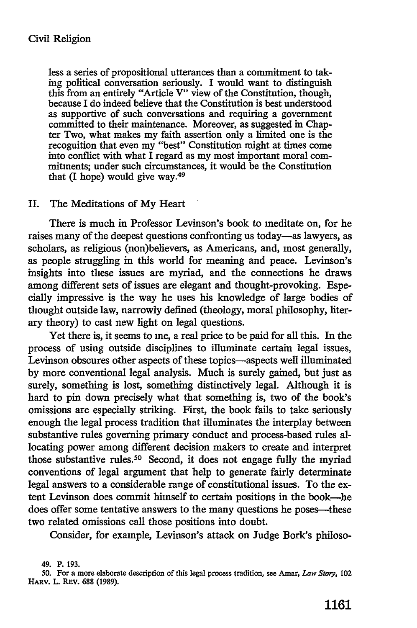less a series of propositional utterances than a commitment to taking political conversation seriously. I would want to distinguish this from an entirely "Article V" view of the Constitution, though, because I do indeed believe that the Constitution is best understood as supportive of such conversations and requiring a government committed to their maintenance. Moreover, as suggested in Chapter Two, what makes my faith assertion only a limited one is the recognition that even my "best" Constitution might at times come into conflict with what I regard as my most important moral commitments; under such circumstances, it would be the Constitution that  $(I$  hope) would give way.<sup>49</sup>

#### II. The Meditations of My Heart

There is much in Professor Levinson's book to meditate on, for he raises many of the deepest questions confronting us today—as lawyers, as scholars, as religious (non)believers, as Americans, and, most generally, as people struggling in this world for meaning and peace. Levinson's insights into these issues are myriad, and the connections he draws among different sets of issues are elegant and thought-provoking. Especially impressive is the way he uses his knowledge of large bodies of thought outside law, narrowly defined (theology, moral philosophy, literary theory) to cast new light on legal questions.

Yet there is, it seems to me, a real price to be paid for all this. In the process of using outside disciplines to illuminate certain legal issues, Levinson obscures other aspects of these topics-aspects well illuminated by more conventional legal analysis. Much is surely gained, but just as surely, something is lost, something distinctively legal. Although it is hard to pin down precisely what that something is, two of the book's omissions are especially striking. First, the book fails to take seriously enough the legal process tradition that illuminates the interplay between substantive rules governing primary conduct and process-based rules allocating power among different decision makers to create and interpret those substantive rules.50 Second, it does not engage fully the myriad conventions of legal argument that help to generate fairly determinate legal answers to a considerable range of constitutional issues. To the extent Levinson does commit himself to certain positions in the book-he does offer some tentative answers to the many questions he poses—these two related omissions call those positions into doubt.

Consider, for example, Levinson's attack on Judge Bork's philoso-

49. P. 193.

**<sup>50.</sup>** For a more elaborate description of this legal process tradition, see Amar, Law Story, 102 HARV. L. REv. 688 (1989).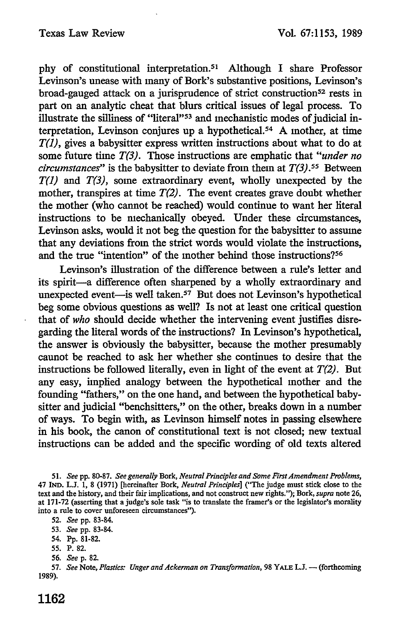phy of constitutional interpretation.51 Although I share Professor Levinson's unease with many of Bork's substantive positions, Levinson's broad-gauged attack on a jurisprudence of strict construction<sup>52</sup> rests in part on an analytic cheat that blurs critical issues of legal process. To illustrate the silliness of "literal"<sup>53</sup> and mechanistic modes of judicial interpretation, Levinson conjures up a hypothetical.<sup>54</sup> A mother, at time *T(1)*, gives a babysitter express written instructions about what to do at some future time *T(3).* Those instructions are emphatic that *"under no circumstances"* is the babysitter to deviate from them at *T(3).55* Between *T(1) and T(3),* some extraordinary event, wholly unexpected by the mother, transpires at time *T(2).* The event creates grave doubt whether the mother (who cannot be reached) would continue to want her literal instructions to be mechanically obeyed. Under these circumstances, Levinson asks, would it not beg the question for the babysitter to assume that any deviations from the strict words would violate the instructions, and the true "intention" of the mother behind those instructions?<sup>56</sup>

Levinson's illustration of the difference between a rule's letter and its spirit-a difference often sharpened by a wholly extraordinary and unexpected event-is well taken.<sup>57</sup> But does not Levinson's hypothetical beg some obvious questions as well? Is not at least one critical question that of *who* should decide whether the intervening event justifies disregarding the literal words of the instructions? In Levinson's hypothetical, the answer is obviously the babysitter, because the mother presumably cannot be reached to ask her whether she continues to desire that the instructions be followed literally, even in light of the event at *T(2).* But any easy, implied analogy between the hypothetical mother and the founding "fathers," on the one hand, and between the hypothetical babysitter and judicial "benchsitters," on the other, breaks down in a number of ways. To begin with, as Levinson himself notes in passing elsewhere in his book, the canon of constitutional text is not closed; new textual instructions can be added and the specific wording of old texts altered

**56.** *See* p. 82.

<sup>51.</sup> *See pp.* 80-87. *See generally* Bork, *Neutral Principles and Some First Amendment Problems,* 47 IND. L.J. **1,** 8 (1971) [hereinafter Bork, *Neutral Principles]* ("The judge must stick close to the text and the history, and their fair implications, and not construct new rights."); Bork, *supra* note 26, at 171-72 (asserting that a judge's sole task "is to translate the framer's or the legislator's morality into a rule to cover unforeseen circumstances").

**<sup>52.</sup>** *See* pp. 83-84.

**<sup>53.</sup>** *See* pp. 83-84.

<sup>54.</sup> **Pp.** 81-82.

*<sup>55.</sup>* P. **82.**

<sup>57.</sup> *See* Note, *Plastics: Unger and Ackerman on Transformation*, 98 YALE L.J. - (forthcoming 1989).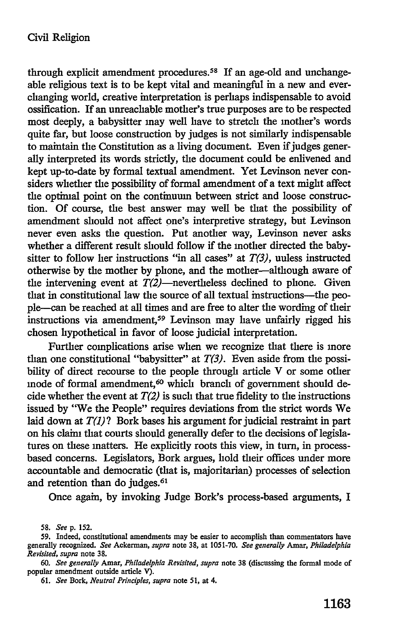through explicit amendment procedures. 58 If an age-old and unchangeable religious text is to be kept vital and meaningful in a new and everchanging world, creative interpretation is perhaps indispensable to avoid ossification. If an unreachable mother's true purposes are to be respected most deeply, a babysitter may well have to stretch the mother's words quite far, but loose construction by judges is not similarly indispensable to maintain the Constitution as a living document. Even if judges generally interpreted its words strictly, the document could be enlivened and kept up-to-date by formal textual amendment. Yet Levinson never considers whether the possibility of formal amendment of a text might affect the optimal point on the continuum between strict and loose construction. Of course, the best answer may well be that the possibility of amendment should not affect one's interpretive strategy, but Levinson never even asks the question. Put another way, Levinson never asks whether a different result should follow if the mother directed the babysitter to follow her instructions "in all cases" at *T(3),* unless instructed otherwise by the mother by phone, and the mother-although aware of the intervening event at  $T(2)$ —nevertheless declined to phone. Given that in constitutional law the source of all textual instructions--- the people-can be reached at all times and are free to alter the wording of their instructions via amendment,<sup>59</sup> Levinson may have unfairly rigged his chosen hypothetical in favor of loose judicial interpretation.

Further complications arise when we recognize that there is more than one constitutional "babysitter" at *T(3).* Even aside from the possibility of direct recourse to the people through article V or some other mode of formal amendment,<sup>60</sup> which branch of government should decide whether the event at  $T(2)$  is such that true fidelity to the instructions issued by "We the People" requires deviations from the strict words We laid down at  $T(1)$ ? Bork bases his argument for judicial restraint in part on his claim that courts should generally defer to the decisions of legislatures on these matters. He explicitly roots this view, in turn, in processbased concerns. Legislators, Bork argues, hold their offices under more accountable and democratic (that is, majoritarian) processes of selection and retention than do judges.<sup>61</sup>

Once again, by invoking Judge Bork's process-based arguments, I

<sup>58.</sup> *See* p. 152.

<sup>59.</sup> Indeed, constitutional amendments may be easier to accomplish than commentators have generally recognized. *See* Ackerman, *supra* note 38, at 1051-70. *See generally Amar, Philadelphia Revisited, supra* note 38.

*<sup>60.</sup> See generally Amar, Philadelphia Revisited, supra* note 38 (discussing the formal mode of popular amendment outside article V).

<sup>61.</sup> *See* Bork, *Neutral Principles, supra* note 51, at 4.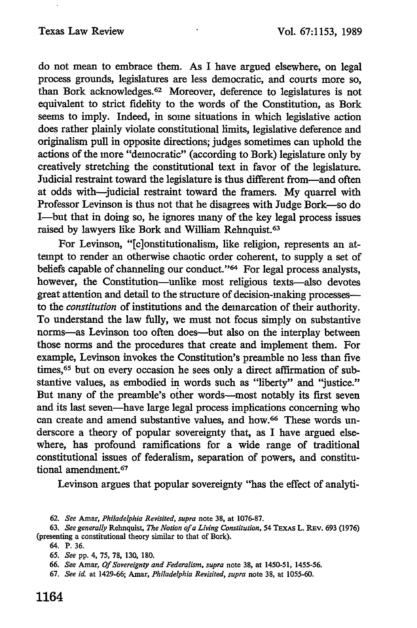do not mean to embrace them. As I have argued elsewhere, on legal process grounds, legislatures are less democratic, and courts more so, than Bork acknowledges. 62 Moreover, deference to legislatures is not equivalent to strict fidelity to the words of the Constitution, as Bork seems to imply. Indeed, in some situations in which legislative action does rather plainly violate constitutional limits, legislative deference and originalism pull in opposite directions; judges sometimes can uphold the actions of the more "democratic" (according to Bork) legislature only by creatively stretching the constitutional text in favor of the legislature. Judicial restraint toward the legislature is thus different from-and often at odds with-judicial restraint toward the framers. My quarrel with Professor Levinson is thus not that he disagrees with Judge Bork-so do I-but that in doing so, he ignores many of the key legal process issues raised by lawyers like Bork and William Rehnquist.<sup>63</sup>

For Levinson, "[c]onstitutionalism, like religion, represents an attempt to render an otherwise chaotic order coherent, to supply a set of beliefs capable of channeling our conduct."<sup>64</sup> For legal process analysts, however, the Constitution-unlike most religious texts-also devotes great attention and detail to the structure of decision-making processesto the *constitution* of institutions and the demarcation of their authority. To understand the law fully, we must not focus simply on substantive norms-as Levinson too often does-but also on the interplay between those norms and the procedures that create and implement them. For example, Levinson invokes the Constitution's preamble no less than five times,<sup>65</sup> but on every occasion he sees only a direct affirmation of substantive values, as embodied in words such as "liberty" and "justice." But many of the preamble's other words-most notably its first seven and its last seven-have large legal process implications concerning who can create and amend substantive values, and how.66 These words underscore a theory of popular sovereignty that, as I have argued elsewhere, has profound ramifications for a wide range of traditional constitutional issues of federalism, separation of powers, and constitutional amendment.<sup>67</sup>

Levinson argues that popular sovereignty "has the effect of analyti-

**<sup>62.</sup>** *See Amar, Philadelphia Revisited, supra* note **38,** at **1076-87.**

<sup>63.</sup> *See generally* Rehnquist, *The Notion of a Living Constitution,* 54 **TEXAs** L. **REv. 693 (1976)** (presenting a constitutional theory similar to that of Bork).

<sup>64.</sup> P. 36.

**<sup>65.</sup>** *See* **pp.** 4, **75,** 78, 130, 180.

**<sup>66.</sup>** *See Amar, Of Sovereignty and Federalism, supra* note **38,** at 1450-51, **1455-56.**

**<sup>67.</sup>** *See id.* at 1429-66; Amar, *Philadelphia Revisited, supra* note **38,** at **1055-60.**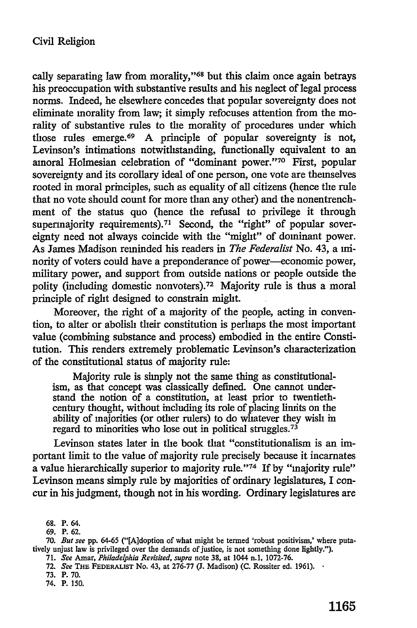cally separating law from morality,"<sup>68</sup> but this claim once again betrays his preoccupation with substantive results and his neglect of legal process norms. Indeed, he elsewhere concedes that popular sovereignty does not eliminate morality from law; it simply refocuses attention from the morality of substantive rules to the morality of procedures under which those rules emerge.69 A principle of popular sovereignty is not, Levinson's intimations notwithstanding, functionally equivalent to an amoral Holmesian celebration of "dominant power."70 First, popular sovereignty and its corollary ideal of one person, one vote are themselves rooted in moral principles, such as equality of all citizens (hence the rule that no vote should count for more than any other) and the nonentrenchment of the status quo (hence the refusal to privilege it through supermajority requirements).<sup>71</sup> Second, the "right" of popular sovereignty need not always coincide with the "might" of dominant power. As James Madison reminded his readers in *The Federalist* No. 43, a minority of voters could have a preponderance of power-economic power, military power, and support from outside nations or people outside the polity (including domestic nonvoters).<sup>72</sup> Majority rule is thus a moral principle of right designed to constrain might.

Moreover, the right of a majority of the people, acting in convention, to alter or abolish their constitution is perhaps the most important value (combining substance and process) embodied in the entire Constitution. This renders extremely problematic Levinson's characterization of the constitutional status of majority rule:

Majority rule is simply not the same thing as constitutionalism, as that concept was classically defined. One cannot understand the notion of a constitution, at least prior to twentiethcentury thought, without including its role of placing limits on the ability of majorities (or other rulers) to do whatever they wish in regard to minorities who lose out in political struggles.<sup>73</sup>

Levinson states later in the book that "constitutionalism is an important limit to the value of majority rule precisely because it incarnates a value hierarchically superior to majority rule."<sup>74</sup> If by "majority rule" Levinson means simply rule by majorities of ordinary legislatures, I concur in his judgment, though not in his wording. Ordinary legislatures are

**74. P. 150.**

**<sup>68.</sup>** P. **64.**

**<sup>69.</sup> P. 62.**

**<sup>70.</sup>** *But see* **pp. 64-65 ("[A]doption of what might be termed 'robust positivism,' where putatively** unjust **law is privileged over the demands of** justice, **is not something done lightly.").**

**<sup>71.</sup>** *See Amar, Philadelphia Revisited, supra* **note 38,** at **1044 n.1, 1072-76.**

**<sup>72.</sup>** *See* **THE** FEDERALIST **No. 43, at 276-77 (J. Madison) (C. Rossiter ed. 1961). -**

**<sup>73.</sup> P. 70.**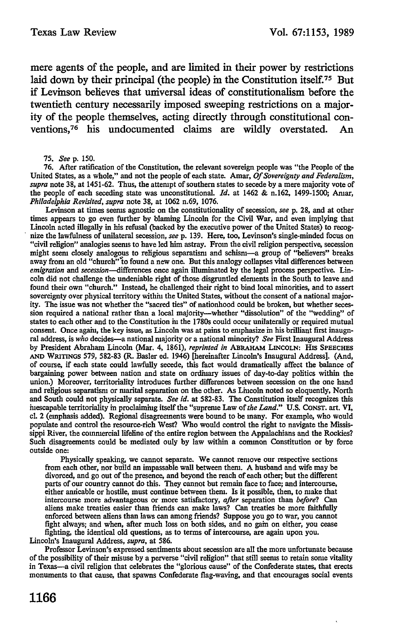mere agents of the people, and are limited in their power by restrictions laid down by their principal (the people) in the Constitution itself.75 But if Levinson believes that universal ideas of constitutionalism before the twentieth century necessarily imposed sweeping restrictions on a majority of the people themselves, acting directly through constitutional conventions,76 his undocumented claims are wildly overstated. An

75. *See* p. 150.

76. After ratification of the Constitution, the relevant sovereign people was "the People of the United States, as a whole," and not the people of each state. Amar, *Of Sovereignty and Federalism, supra* note 38, at 1451-62. Thus, the attempt of southern states to secede by a mere majority vote of the people of each seceding state was unconstitutional. *Id.* at 1462 & n.162, 1499-1500; Amar, *Philadelphia Revisited, supra* note 38, at 1062 n.69, 1076.

Levinson at times seems agnostic on the constitutionality of secession, *see* p. 28, and at other times appears to go even further by blaming Lincoln for the Civil War, and even implying that Lincoln acted illegally in his refusal (backed by the executive power of the United States) to recognize the lawfulness of unilateral secession, *see* p. 139. Here, too, Levinson's single-minded focus on "civil religion" analogies seems to have led him astray. From the civil religion perspective, secession might seem closely analogous to religious separatism and schism-a group of "believers" breaks away from an old "church" to found a new one. But this analogy collapses vital differences between *emigration and secession-differences* once again illuminated by the legal process perspective. Lincoln did not challenge the undeniable right of those disgruntled elements in the South to leave and found their own "church." Instead, he challenged their right to bind local minorities, and to assert sovereignty over physical territory within the United States, without the consent of a national majority. The issue was not whether the "sacred ties" of nationhood could be broken, but whether secession required a national rather than a local majority-whether "dissolution" of the "wedding" of states to each other and to the Constitution in the 1780s could occur unilaterally or required mutual consent. Once again, the key issue, as Lincoln was at pains to emphasize in his brilliant first inaugural address, is *who* decides-a national majority or a national minority? *See* First Inaugural Address by President Abraham Lincoln (Mar. 4, 1861), *reprinted in* ABRAHAM LINCOLN: His **SPEECHES AND** WRITINGS 579, 582-83 (R. Basler ed. 1946) [hereinafter Lincoln's Inaugural Address]. (And, of course, if each state could lawfully secede, this fact would dramatically affect the balance of bargaining power between nation and state on ordinary issues of day-to-day politics within the union.) Moreover, territoriality introduces further differences between secession on the one hand and religious separatism or marital separation on the other. As Lincoln noted so eloquently, North and South could not physically separate. *See id.* at 582-83. The Constitution itself recognizes this inescapable territoriality in proclaiming itself the "supreme Law of *the Land."* U.S. CONsT. art. *VI,* cl. 2 (emphasis added). Regional disagreements were bound to be many. For example, who would populate and control the resource-rich West? Who would control the right to navigate the Mississippi River, the commercial lifeline of the entire region between the Appalachians and the Rockies? Such disagreements could be mediated only by law within a common Constitution or by force outside one:

Physically speaking, we cannot separate. We cannot remove our respective sections from each other, nor build an impassable wall between them. A husband and wife may be divorced, and go out of the presence, and beyond the reach of each other, but the different parts of our country cannot do this. They cannot but remain face to face; and intercourse, either amicable or hostile, must continue between them. Is it possible, then, to make that intercourse more advantageous or more satisfactory, *after* separation than *before? Can* aliens make treaties easier than friends can make laws? Can treaties be more faithfully enforced between aliens than laws can among friends? Suppose you go to war, you cannot fight always; and when, after much loss on both sides, and no gain on either, you cease fighting, the identical old questions, as to terms of intercourse, are again upon you.

Lincoln's Inaugural Address, *supra,* at 586.

Professor Levinson's expressed sentiments about secession are all the more unfortunate because of the possibility of their misuse by a perverse "civil religion" that still seems to retain some vitality in Texas-a civil religion that celebrates the "glorious cause" of the Confederate states, that erects monuments to that cause, that spawns Confederate flag-waving, and that encourages social events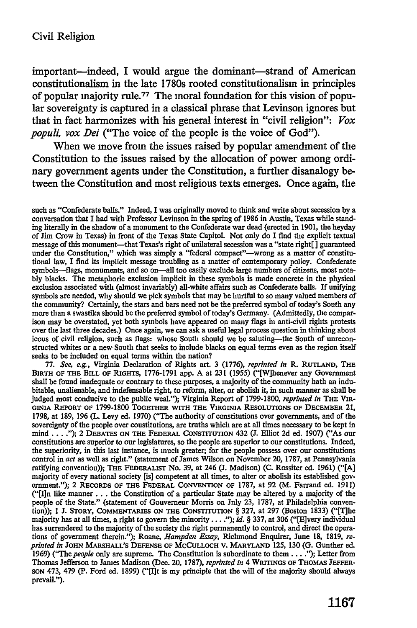important—indeed, I would argue the dominant—strand of American constitutionalism in the late 1780s rooted constitutionalism in principles of popular majority rule.77 The moral foundation for this vision of popular sovereignty is captured in a classical phrase that Levinson ignores but that in fact harmonizes with his general interest in "civil religion": *Vox populi, vox Dei* ("The voice of the people is the voice of God").

When we move from the issues raised **by** popular amendment of the Constitution to the issues raised **by** the allocation of power among ordinary government agents under the Constitution, a further disanalogy between the Constitution and most religious texts emerges. Once again, the

77. *See, eg.,* Virginia Declaration of Rights art. 3 (1776), *reprinted in* R. RUTLAND, **THE** BIRTH OF THE BILL OF RIGHTS, 1776-1791 app. A at 231 (1955) ("[W]henever any Government shall be found inadequate or contrary to these purposes, a majority of the community hath an indubitable, unalienable, and indefensable right, to reform, alter, or abolish it, in such manner as shall be judged most conducive to the public weal."); Virginia Report of 1799-1800, *reprinted in* THE VIR-**GINIA REPORT OF** 1799-1800 **TOGETHER WITH THE VIRGINIA RESOLUTIONS OF DECEMBER** 21, **1798,** at **189, 196** (L. Levy ed. **1970)** ("The authority of constitutions over governments, and of the sovereignty of the people over constitutions, are truths which are at all times necessary to be kept in mind **.... ");** 2 **DEBATES ON** THE **FEDERAL CONSTITUTION** 432 **(.** Elliot **2d** ed. **1907)** ("As our constitutions are superior to our legislatures, so the people are superior to our constitutions. Indeed, the superiority, in this last instance, is much greater; for the people possess over our constitutions control in *act* as well as right." (statement of James Wilson on November 20, **1787,** at Pennsylvania ratifying convention)); **THE FEDERALIST** No. **39,** at 246 **(J.** Madison) **(C.** Rossiter ed. **1961) ("[A]** majority of every national society [is] competent at all times, to alter or abolish its established government."); 2 **RECORDS OF** THE **FEDERAL CONVENTION OF 1787,** at **92** (M. Farrand ed. 1911) ("[In like manner **...** the Constitution of a particular State may be altered **by** a majority of the people of the State." (statement of Gouverneur Morris on July **23, 1787,** at Philadelphia convention)); 1 **J. STORY, COMMENTARIES ON THE CONSTrUTION** § **327,** at **297** (Boston **1833)** ("[T]he majority has at all times, a right to govern the minority **.... ");** *id. §* **337,** at **306** ("[E]very individual has surrendered to the majority of the society the right permanently to control, and direct the operations of government therein."); Roane, *Hampden Essay,* Richmond Enquirer, June **18, 1819,** *reprinted in* **JOHN** MARSHALL'S **DEFENSE OF MCCULLOCH V. MARYLAND** 125, **130 (G.** Gunther ed. **1969)** *("The people* only are supreme. The Constitution is subordinate to them **.... );** Letter from Thomas Jefferson to James Madison (Dec. 20, **1787),** *reprinted in* 4 WRITINGS **OF THOMAS JEFFER-SON** 473, 479 (P. Ford ed. 1899) ("[I]t is my principle that the will of the majority should always prevail.").

such as "Confederate balls." Indeed, I was originally moved to think and write about secession by a conversation that I had with Professor Levinson in the spring of 1986 in Austin, Texas while standing literally in the shadow of a monument to the Confederate war dead (erected in **1901,** the heyday of Jim Crow in Texas) in front of the Texas State Capitol. Not only do I find the explicit textual message of this monument-that Texas's right of unilateral secession was a "state right[ ] guaranteed under the Constitution," which was simply a "federal compact"-wrong as a matter of constitutional law, I find its implicit message troubling as a matter of contemporary policy. Confederate symbols--flags, monuments, and so on--all too easily exclude large numbers of citizens, most notably blacks. The metaphoric exclusion implicit in these symbols is made concrete in the physical exclusion associated with (almost invariably) all-white affairs such as Confederate balls. If unifying symbols are needed, why should we pick symbols that may be hurtful to so many valued members of the community? Certainly, the stars and bars need not be the preferred symbol of today's South any more than a swastika should be the preferred symbol of today's Germany. (Admittedly, the comparison may be overstated, yet both symbols have appeared on many flags in anti-civil rights protests over the last three decades.) Once again, we can ask a useful legal process question in thinking about icons of civil religion, such as flags: whose South should we be saluting-the South of unreconstructed whites or a new- South that seeks to include blacks on equal terms even as the region itself seeks to be included on equal terms within the nation?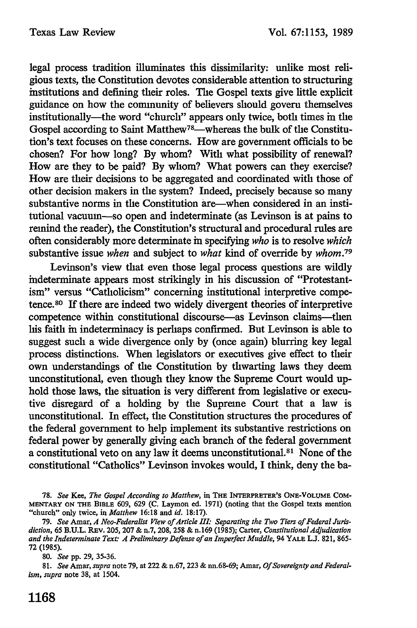legal process tradition illuminates this dissimilarity: unlike most religious texts, the Constitution devotes considerable attention to structuring institutions and defining their roles. The Gospel texts give little explicit guidance on how the community of believers should govern themselves institutionally-the word "church" appears only twice, both times in the Gospel according to Saint Matthew<sup>78</sup>—whereas the bulk of the Constitution's text focuses on these concerns. How are government officials to be chosen? For how long? By whom? With what possibility of renewal? How are they to be paid? By whom? What powers can they exercise? How are their decisions to be aggregated and coordinated with those of other decision makers in the system? Indeed, precisely because so many substantive norms in the Constitution are—when considered in an institutional vacuum-so open and indeterminate (as Levinson is at pains to remind the reader), the Constitution's structural and procedural rules are often considerably more determinate in specifying *who* is to resolve *which* substantive issue *when* and subject to *what* kind of override by *whom. <sup>79</sup>*

Levinson's view that even those legal process questions are wildly indeterminate appears most strikingly in his discussion of "Protestantism" versus "Catholicism" concerning institutional interpretive competence.80 If there are indeed two widely divergent theories of interpretive competence within constitutional discourse-as Levinson claims-then his faith in indeterminacy is perhaps confirmed. But Levinson is able to suggest such a wide divergence only by (once again) blurring key legal process distinctions. When legislators or executives give effect to their own understandings of the Constitution by thwarting laws they deem unconstitutional, even though they know the Supreme Court would uphold those laws, the situation is very different from legislative or executive disregard of a holding by the Supreme Court that a law is unconstitutional. In effect, the Constitution structures the procedures of the federal government to help implement its substantive restrictions on federal power by generally giving each branch of the federal government a constitutional veto on any law it deems unconstitutional.<sup>81</sup> None of the constitutional "Catholics" Levinson invokes would, I think, deny the ba-

**<sup>78.</sup>** *See* Kee, *The Gospel According to Matthew,* in **THE INTERPRETER'S ONE-VOLUME COM-MENTARY ON THE BIBLE** 609, **629 (C.** Laymon ed. **1971)** (noting that the Gospel texts mention "church" only twice, in *Matthew* 16:18 and *id.* 18:17).

<sup>79.</sup> *See Amar, A Neo-Federalist View of Article 1I: Separating the Two Tiers of Federal Jurisdiction,* 65 B.U.L. REV. 205, 207 & n.7, 208, 258 & n.169 (1985); Carter, *ConstitutionalAdjudication and the Indeterminate Text: A Preliminary Defense of an Imperfect Muddle,* 94 **YALE L.J.** 821, 865- 72 (1985).

<sup>80.</sup> *See* pp. 29, 35-36.

<sup>81.</sup> *See Amar, supra* note 79, at 222 & n.67, 223 & nn.68-69; Amar, *Of Sovereignty and Federalism, supra* note **38,** at 1504.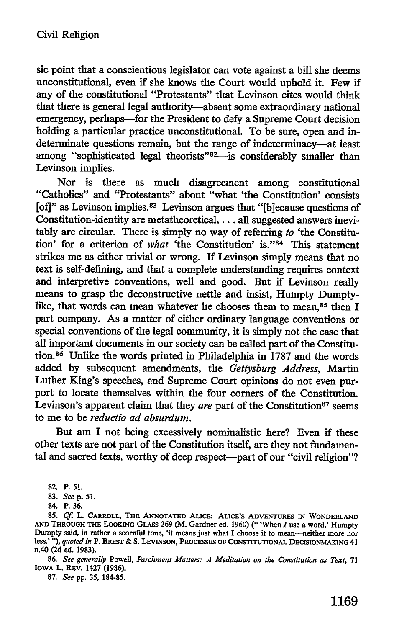sic point that a conscientious legislator can vote against a bill she deems unconstitutional, even if she knows the Court would uphold it. Few if any of the constitutional "Protestants" that Levinson cites would think that there is general legal authority-absent some extraordinary national emergency, perhaps-for the President to defy a Supreme Court decision holding a particular practice unconstitutional. To be sure, open and indeterminate questions remain, but the range of indeterminacy-at least among "sophisticated legal theorists" 82—is considerably smaller than Levinson implies.

Nor is there as much disagreement among constitutional "Catholics" and "Protestants" about "what 'the Constitution' consists [of]" as Levinson implies.<sup>83</sup> Levinson argues that "[b]ecause questions of Constitution-identity are metatheoretical,... all suggested answers inevitably are circular. There is simply no way of referring *to* 'the Constitution' for a criterion of *what* 'the Constitution' is."<sup>84</sup> This statement strikes me as either trivial or wrong. If Levinson simply means that no text is self-defining, and that a complete understanding requires context and interpretive conventions, well and good. But if Levinson really means to grasp the deconstructive nettle and insist, Humpty Dumptylike, that words can mean whatever he chooses them to mean,<sup>85</sup> then I part company. As a matter of either ordinary language conventions or special conventions of the legal community, it is simply not the case that all important documents in our society can be called part of the Constitution.86 Unlike the words printed in Philadelphia in 1787 and the words added by subsequent amendments, the *Gettysburg Address,* Martin Luther King's speeches, and Supreme Court opinions do not even purport to locate themselves within the four comers of the Constitution. Levinson's apparent claim that they *are* part of the Constitution<sup>87</sup> seems to me to be *reductio ad absurdum.*

But am I not being excessively nominalistic here? Even if these other texts are not part of the Constitution itself, are they not fundamental and sacred texts, worthy of deep respect-part of our "civil religion"?

**86.** *See generally* **Powell,** *Parchment Matters: A Meditation on the Constitution as Text,* 71 IOWA L. REV. 1427 **(1986).**

**87.** *See* pp. 35, 184-85.

<sup>82.</sup> P. 51.

**<sup>83.</sup>** *See* **p. 51.**

<sup>84.</sup> P. **36.**

**<sup>85.</sup>** *Cf.* **L. CARROLL, THE ANNOTATED ALICE: ALICE'S ADVENTURES IN WONDERLAND** AND THROUGH THE LOOKING GLASS 269 (M. Gardner ed. 1960) (" 'When *I* use a word,' Humpty **Dumpty said, in rather a scornful tone,** 'it **means** just **what I choose it to mean-neither more nor less.'** *"), quoted in* **P. BREST & S. LEVINSON, PROCESSES OF CONSTITUTIONAL DECISIONMAKING** 41 **n.40 (2d ed. 1983).**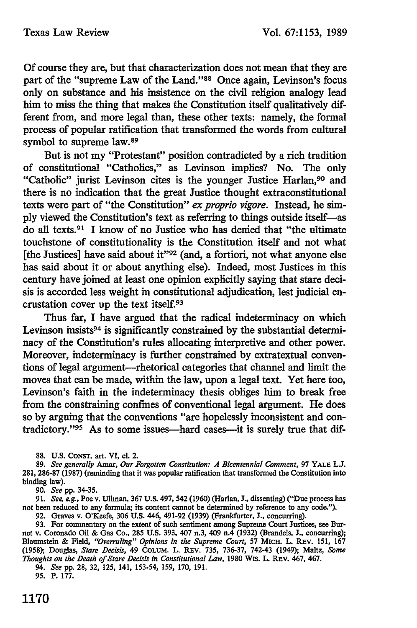Of course they are, but that characterization does not mean that they are part of the "supreme Law of the Land."<sup>88</sup> Once again, Levinson's focus only on substance and his insistence on the civil religion analogy lead him to miss the thing that makes the Constitution itself qualitatively different from, and more legal than, these other texts: namely, the formal process of popular ratification that transformed the words from cultural symbol to supreme law.89

But is not my "Protestant" position contradicted by a rich tradition of constitutional "Catholics," as Levinson implies? No. The only "Catholic" jurist Levinson cites is the younger Justice Harlan,<sup>90</sup> and there is no indication that the great Justice thought extraconstitutional texts were part of "the Constitution" *ex proprio vigore.* Instead, he simply viewed the Constitution's text as referring to things outside itself-as do all texts.91 I know of no Justice who has denied that "the ultimate touchstone of constitutionality is the Constitution itself and not what [the Justices] have said about it"<sup>92</sup> (and, a fortiori, not what anyone else has said about it or about anything else). Indeed, most Justices in this century have joined at least one opinion explicitly saying that stare decisis is accorded less weight in constitutional adjudication, lest judicial encrustation cover up the text itself.93

Thus far, I have argued that the radical indeterminacy on which Levinson insists<sup>94</sup> is significantly constrained by the substantial determinacy of the Constitution's rules allocating interpretive and other power. Moreover, indeterminacy is further constrained by extratextual conventions of legal argument-rhetorical categories that channel and limit the moves that can be made, within the law, upon a legal text. Yet here too, Levinson's faith in the indeterminacy thesis obliges him to break free from the constraining confines of conventional legal argument. He does so by arguing that the conventions "are hopelessly inconsistent and contradictory."<sup>95</sup> As to some issues—hard cases—it is surely true that dif-

**88. U.S. CONsT.** art. VI, cl. 2.

89. *See generally Amar, Our Forgotten Constitution: A Bicentennial Comment,* **97 YALE L.J.** 281, 286-87 (1987) (reminding that it was popular ratification that transformed the Constitution into binding law).

90. *See* pp. 34-35.

91. *See, e.g.,* Poe v. Ullman, 367 U.S. 497, 542 (1960) (Harlan, J., dissenting) ("Due process has not been reduced to any formula; its content cannot be determined **by** reference to any code.").

92. Graves v. O'Keefe, 306 **U.S.** 446, 491-92 (1939) (Frankfurter, J., concurring).

93. For commentary on the extent of such sentiment among Supreme Court Justices, see Burnet v. Coronado Oil & Gas Co., 285 **U.S.** 393, 407 n.3, 409 n.4 (1932) (Brandeis, **J.,** concurring); Blaumstein & Field, *"Overruling" Opinions in the Supreme Court,* 57 MICH. L. REV. 151, 167 (1958); Douglas, *Stare Decisis,* 49 **COLUM.** L. Ray. 735, 736-37, 742-43 (1949); Maltz, *Some Thoughts on the Death of Stare Decisis in Constitutional Law,* 1980 Wis. L. REv. 467, 467.

94. *See* pp. 28, 32, 125, 141, 153-54, 159, 170, 191.

95. P. 177.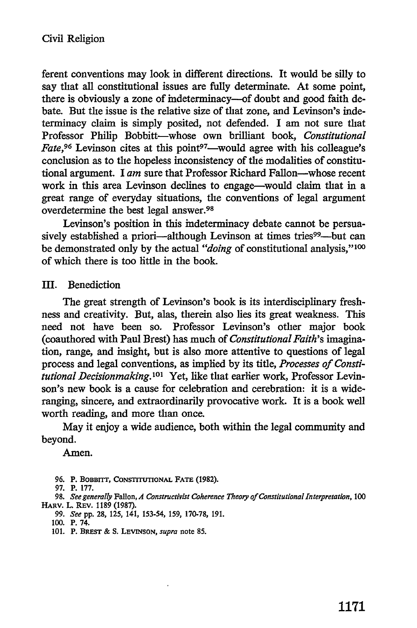ferent conventions may look in different directions. It would be silly to say that all constitutional issues are fully determinate. At some point, there is obviously a zone of indeterminacy-of doubt and good faith debate. But the issue is the relative size of that zone, and Levinson's indeterminacy claim is simply posited, not defended. I am not sure that Professor Philip Bobbitt-whose own brilliant book, *Constitutional* Fate,<sup>96</sup> Levinson cites at this point<sup>97</sup>—would agree with his colleague's conclusion as to the hopeless inconsistency of the modalities of constitutional argument. I *am* sure that Professor Richard Fallon-whose recent work in this area Levinson declines to engage-would claim that in a great range of everyday situations, the conventions of legal argument overdetermine the best legal answer.<sup>98</sup>

Levinson's position in this indeterminacy debate cannot be persuasively established a priori—although Levinson at times tries<sup>99</sup>—but can be demonstrated only by the actual *"doing* of constitutional analysis,"<sup>100</sup> of which there is too little in the book.

III. Benediction

The great strength of Levinson's book is its interdisciplinary freshness and creativity. But, alas, therein also lies its great weakness. This need not have been so. Professor Levinson's other major book (coauthored with Paul Brest) has much of *Constitutional Faith's* imagination, range, and insight, but is also more attentive to questions of legal process and legal conventions, as implied by its title, *Processes of Constitutional Decisionmaking.101* Yet, like that earlier work, Professor Levinson's new book is a cause for celebration and cerebration: it is a wideranging, sincere, and extraordinarily provocative work. It is a book well worth reading, and more than once.

May it enjoy a wide audience, both within the legal community and beyond.

Amen.

**96. P. BOBBITT, CONSTITUTIONAL FATE (1982).**

**97. P. 177.**

98. *See generally* Fallon, *A Constructivist Coherence Theory of Constitutional Interpretation, <sup>100</sup>* HARv. L. REV. **1189 (1987).**

99. *See* pp. 28, 125, 141, 153-54, 159, 170-78, 191.

<sup>100.</sup> P. 74.

<sup>101.</sup> P. BREST & S. **LEVINSON,** *supra* note 85.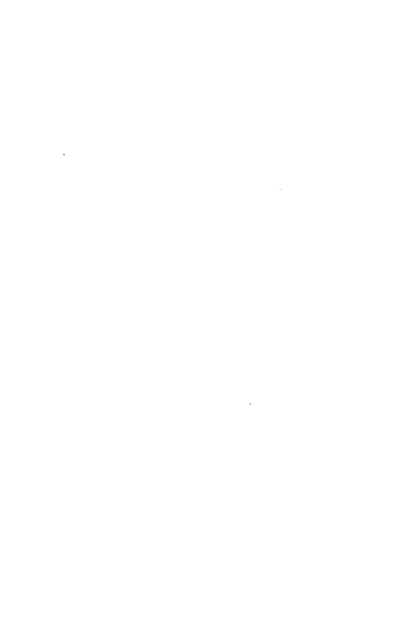$\mathcal{L}(\mathcal{A})$  and  $\mathcal{L}(\mathcal{A})$  .  $\label{eq:2.1} \frac{1}{\sqrt{2}}\int_{\mathbb{R}^3}\frac{1}{\sqrt{2}}\left(\frac{1}{\sqrt{2}}\right)^2\frac{1}{\sqrt{2}}\left(\frac{1}{\sqrt{2}}\right)^2\frac{1}{\sqrt{2}}\left(\frac{1}{\sqrt{2}}\right)^2\frac{1}{\sqrt{2}}\left(\frac{1}{\sqrt{2}}\right)^2\frac{1}{\sqrt{2}}\left(\frac{1}{\sqrt{2}}\right)^2\frac{1}{\sqrt{2}}\left(\frac{1}{\sqrt{2}}\right)^2\frac{1}{\sqrt{2}}\left(\frac{1}{\sqrt{2}}\right)^2\frac{1}{\sqrt{$  $\label{eq:2.1} \frac{1}{\sqrt{2\pi}}\left(\frac{1}{\sqrt{2\pi}}\right)^{2} \left(\frac{1}{\sqrt{2\pi}}\right)^{2} \left(\frac{1}{\sqrt{2\pi}}\right)^{2} \left(\frac{1}{\sqrt{2\pi}}\right)^{2} \left(\frac{1}{\sqrt{2\pi}}\right)^{2} \left(\frac{1}{\sqrt{2\pi}}\right)^{2} \left(\frac{1}{\sqrt{2\pi}}\right)^{2} \left(\frac{1}{\sqrt{2\pi}}\right)^{2} \left(\frac{1}{\sqrt{2\pi}}\right)^{2} \left(\frac{1}{\sqrt{2\pi}}\right)^{2$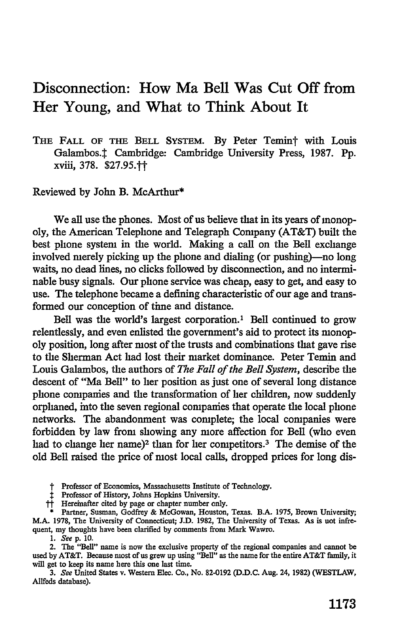# Disconnection: How Ma Bell Was Cut **Off** from Her Young, and What to Think About It

**THE FALL** OF **THE BELL SYSTEM. By** Peter Temint with Louis Galambos.T Cambridge: Cambridge University Press, 1987. **Pp.** xviii, 378. \$27.95.tt

Reviewed by John B. McArthur\*

We all use the phones. Most of us believe that in its years of monopoly, the American Telephone and Telegraph Company (AT&T) built the best phone system in the world. Making a call on the Bell exchange involved merely picking up the phone and dialing (or pushing)—no long waits, no dead lines, no clicks followed by disconnection, and no interminable busy signals. Our phone service was cheap, easy to get, and easy to use. The telephone became a defining characteristic of our age and transformed our conception of time and distance.

Bell was the world's largest corporation.1 Bell continued to grow relentlessly, and even enlisted the government's aid to protect its monopoly position, long after most of the trusts and combinations that gave rise to the Sherman Act had lost their market dominance. Peter Temin and Louis Galambos, the authors of *The Fall of the Bell System,* describe the descent of "Ma Bell" to her position as just one of several long distance phone companies and the transformation of her children, now suddenly orphaned, into the seven regional companies that operate the local phone networks. The abandonment was complete; the local companies were forbidden by law from showing any more affection for Bell (who even had to change her name)<sup>2</sup> than for her competitors.<sup>3</sup> The demise of the old Bell raised the price of most local calls, dropped prices for long dis-

" Professor of Economics, Massachusetts Institute of Technology.

t Professor of History, Johns Hopkins University.

**f i** Heremafter cited by page or chapter number only.

Partner, Susman, Godfrey & McGowan, Houston, Texas. B.A. 1975, Brown University; M.A. 1978, The University of Connecticut; J.D. **1982,** The University of Texas. As is not infrequent, my thoughts have been clarified by comments from Mark Wawro.

*1.* See **p. 10.**

2. The "Bell" name is now the exclusive property of the regional companies and cannot be used **by** AT&T. Because most of us grew up using "Bell" as the name for the entire AT&T family, it will get to keep its name here this one last time.

3. See United States v. Western Elec. Co., No. 82-0192 (D.D.C. Aug. 24, 1982) (WESTLAW, Allfeds database).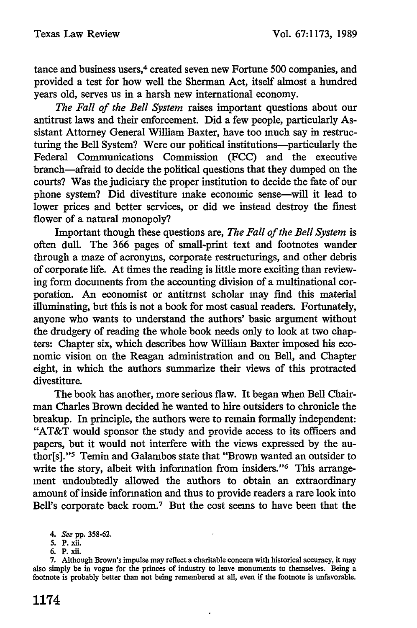tance and business users,<sup>4</sup> created seven new Fortune 500 companies, and provided a test for how well the Sherman Act, itself almost a hundred years old, serves us in a harsh new international economy.

*The Fall of the Bell System* raises important questions about our antitrust laws and their enforcement. Did a few people, particularly Assistant Attorney General William Baxter, have too much say in restructuring the Bell System? Were our political institutions—particularly the Federal Communications Commission (FCC) and the executive branch-afraid to decide the political questions that they dumped on the courts? Was the judiciary the proper institution to decide the fate of our phone system? Did divestiture make economic sense-will it lead to lower prices and better services, or did we instead destroy the finest flower of a natural monopoly?

Important though these questions are, *The Fall of the Bell System* is often dull. The 366 pages of small-print text and footnotes wander through a maze of acronyms, corporate restructurings, and other debris of corporate life. At times the reading is little more exciting than reviewing form documents from the accounting division of a multinational corporation. An economist or antitrnst scholar may find this material illuminating, but this is not a book for most casual readers. Fortunately, anyone who wants to understand the authors' basic argument without the drudgery of reading the whole book needs only to look at two chapters: Chapter six, which describes how William Baxter imposed his economic vision on the Reagan administration and on Bell, and Chapter eight, in which the authors summarize their views of this protracted divestiture.

The book has another, more serious flaw. It began when Bell Chairman Charles Brown decided he wanted to hire outsiders to chronicle the breakup. In principle, the authors were to remain formally independent: "AT&T would sponsor the study and provide access to its officers and papers, but it would not interfere with the views expressed by the author[s]."<sup>5</sup> Temin and Galambos state that "Brown wanted an outsider to write the story, albeit with information from insiders."<sup>6</sup> This arrangement undoubtedly allowed the authors to obtain an extraordinary amount of inside information and thus to provide readers a rare look into Bell's corporate back room.7 But the cost seems to have been that the

6. P. xii.

<sup>4.</sup> See pp. 358-62.

**<sup>5.</sup>** P. xii.

<sup>7.</sup> Although Brown's impulse may reflect a charitable concern with historical accuracy, it may also simply be in vogue for the princes of industry to leave monuments to themselves. Being a footnote is probably better than not being remembered at all, even if the footnote is unfavorable.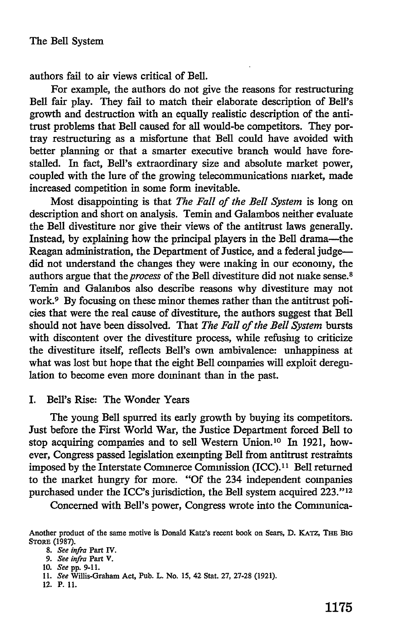authors fail to air views critical of Bell.

For example, the authors do not give the reasons for restructuring Bell fair play. They fail to match their elaborate description of Bell's growth and destruction with an equally realistic description of the antitrust problems that Bell caused for all would-be competitors. They portray restructuring as a misfortune that Bell could have avoided with better planning or that a smarter executive branch would have forestalled. In fact, Bell's extraordinary size and absolute market power, coupled with the lure of the growing telecommunications market, made increased competition in some form inevitable.

Most disappointing is that *The Fall of the Bell System* is long on description and short on analysis. Temin and Galambos neither evaluate the Bell divestiture nor give their views of the antitrust laws generally. Instead, by explaining how the principal players in the Bell drama-the Reagan administration, the Department of Justice, and a federal judgedid not understand the changes they were making in our economy, the authors argue that the *process* of the Bell divestiture did not make sense.<sup>8</sup> Temin and Galambos also describe reasons why divestiture may not work.<sup>9</sup> By focusing on these minor themes rather than the antitrust policies that were the real cause of divestiture, the authors suggest that Bell should not have been dissolved. That *The Fall of the Bell System* bursts with discontent over the divestiture process, while refusing to criticize the divestiture itself, reflects Bell's own ambivalence: unhappiness at what was lost but hope that the eight Bell companies will exploit deregulation to become even more dominant than in the past.

#### I. Bell's Rise: The Wonder Years

The young Bell spurred its early growth by buying its competitors. Just before the First World War, the Justice Department forced Bell to stop acquiring companies and to sell Western Union. 10 In 1921, however, Congress passed legislation exempting Bell from antitrust restraints imposed by the Interstate Commerce Commission (ICC).<sup>11</sup> Bell returned to the market hungry for more. "Of the 234 independent companies purchased under the ICC's jurisdiction, the Bell system acquired **223."12**

Concerned with Bell's power, Congress wrote into the Communica-

12. P. **11.**

Another product of the same motive is Donald Katz's recent book on Sears, D. **KATZ, THE BIG STORE (1987).**

**<sup>8.</sup>** *See infra* Part IV.

*<sup>9.</sup> See infra Part* V.

<sup>10.</sup> *See* pp. 9-11.

<sup>11.</sup> *See* Willis-Graham Act, Pub. L. No. 15, 42 Stat. 27, 27-28 (1921).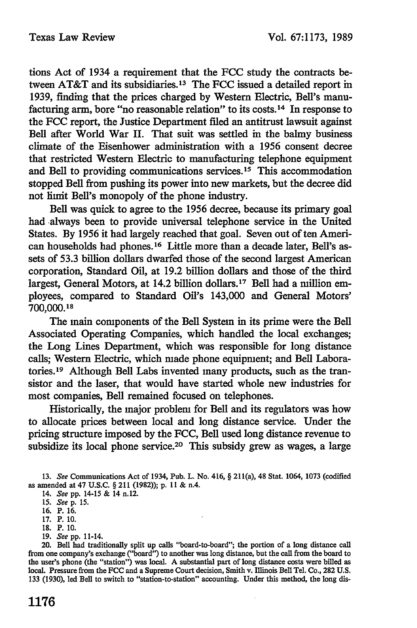tions Act of 1934 a requirement that the FCC study the contracts between AT&T and its subsidiaries. 13 The FCC issued a detailed report in 1939, finding that the prices charged by Western Electric, Bell's manufacturing arm, bore "no reasonable relation" to its costs. 14 In response to the FCC report, the Justice Department filed an antitrust lawsuit against Bell after World War II. That suit was settled in the balmy business climate of the Eisenhower administration with a 1956 consent decree that restricted Western Electric to manufacturing telephone equipment and Bell to providing communications services.<sup>15</sup> This accommodation stopped Bell from pushing its power into new markets, but the decree did not limit Bell's monopoly of the phone industry.

Bell was quick to agree to the 1956 decree, because its primary goal had always been to provide universal telephone service in the United States. By 1956 it had largely reached that goal. Seven out of ten American households had phones. 16 Little more than a decade later, Bell's assets of 53.3 billion dollars dwarfed those of the second largest American corporation, Standard Oil, at 19.2 billion dollars and those of the third largest, General Motors, at 14.2 billion dollars.<sup>17</sup> Bell had a million employees, compared to Standard Oil's 143,000 and General Motors' 700,000.18

The main components of the Bell System in its prime were the Bell Associated Operating Companies, which handled the local exchanges; the Long Lines Department, which was responsible for long distance calls; Western Electric, which made phone equipment; and Bell Laboratories. 19 Although Bell Labs invented many products, such as the transistor and the laser, that would have started whole new industries for most companies, Bell remained focused on telephones.

Historically, the major problem for Bell and its regulators was how to allocate prices between local and long distance service. Under the pricing structure imposed by the FCC, Bell used long distance revenue to subsidize its local phone service.<sup>20</sup> This subsidy grew as wages, a large

**13. See** Communications Act of 1934, Pub. L. No. 416, § 211(a), 48 Stat. 1064, 1073 (codified as amended at 47 U.S.C. § 211 (1982)); p. 11 & n.4.

- 17. P. **10.**
- **18. P. 10.**
- 19. See pp. 11-14.

20. Bell had traditionally split up calls "board-to-board"; the portion of a long distance call from one company's exchange ("board") to another was long distance, but the call from the board to the user's phone (the "station") was local. **A** substantial part of long distance costs were billed as local. Pressure from the **FCC** and a Supreme Court decision, Smith v. Illinois Bell Tel. Co., 282 **U.S.** 133 (1930), led Bell to switch to "station-to-station" accounting. Under this method, the long dis-

<sup>14.</sup> See pp. 14-15 & 14 n.12.

<sup>15.</sup> See p. 15.

<sup>16.</sup> P. 16.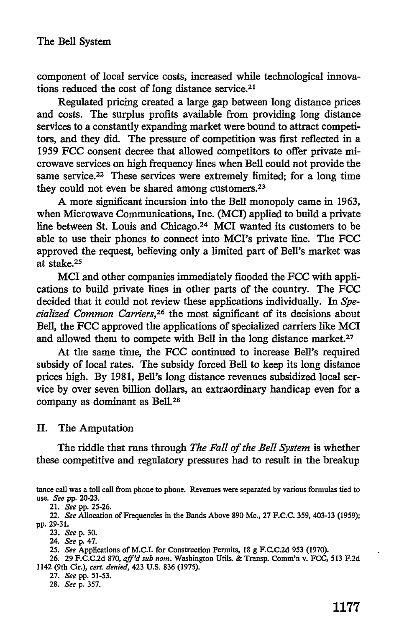component of local service costs, increased while technological innovations reduced the cost of long distance service.<sup>21</sup>

Regulated pricing created a large gap between long distance prices and costs. The surplus profits available from providing long distance services to a constantly expanding market were bound to attract competitors, and they did. The pressure of competition was first reflected in a 1959 FCC consent decree that allowed competitors to offer private microwave services on high frequency lines when Bell could not provide the same service.<sup>22</sup> These services were extremely limited; for a long time they could not even be shared among customers. <sup>23</sup>

A more significant incursion into the Bell monopoly came in 1963, when Microwave Communications, Inc. (MCI) applied to build a private line between St. Louis and Chicago.<sup>24</sup> MCI wanted its customers to be able to use their phones to connect into MCI's private line. The FCC approved the request, believing only a limited part of Bell's market was at stake. <sup>25</sup>

MCI and other companies immediately flooded the FCC with applications to build private lines in other parts of the country. The FCC decided that it could not review these applications individually. In *Specialized Common Carriers,26* the most significant of its decisions about Bell, the FCC approved the applications of specialized carriers like MCI and allowed them to compete with Bell in the long distance market.<sup>27</sup>

At the same time, the FCC continued to increase Bell's required subsidy of local rates. The subsidy forced Bell to keep its long distance prices high. By 1981, Bell's long distance revenues subsidized local service by over seven billion dollars, an extraordinary handicap even for a company as dominant as Bell.<sup>28</sup>

#### II. The Amputation

The riddle that runs through *The Fall of the Bell System* is whether these competitive and regulatory pressures had to result in the breakup

21. *See* **pp. 25-26.**

22. *See* Allocation of Frequencies in the Bands Above **890** Mc., **27 F.C.C. 359,** 403-13 **(1959); pp. 29-31.**

**23.** *See* **p. 30.**

24. *See* **p.** 47.

**26. 29 F.C.C.2d 870,** *aff'd sub nom.* Washington Utils. & Transp. Comm'n v. **FCC, 513 F.2d** 1142 (9th Cir.), *cert denied,* 423 **U.S. 836 (1975).**

**27.** *See* **pp. 51-53.**

**28.** *See* **p. 357.**

tance call was a toll call from phone to phone. Revenues were separated **by** various formulas tied to use. *See* **pp. 20-23.**

**<sup>25.</sup>** *See* Applications of **M.C.I.** for Construction Permits, **18** g **F.C.C.2d 953 (1970).**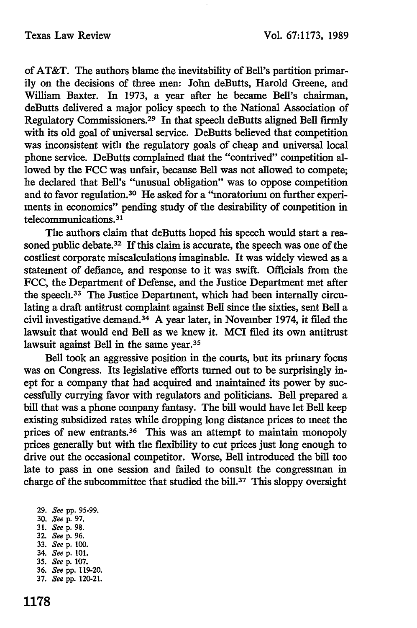of AT&T. The authors blame the inevitability of Bell's partition primar**fly** on the decisions of three men: John deButts, Harold Greene, and William Baxter. In 1973, a year after he became Bell's chairman, deButts delivered a major policy speech to the National Association of Regulatory Commissioners.<sup>29</sup> In that speech deButts aligned Bell firmly with its old goal of universal service. DeButts believed that competition was inconsistent with the regulatory goals of cheap and universal local phone service. DeButts complained that the "contrived" competition allowed by the FCC was unfair, because Bell was not allowed to compete; he declared that Bell's "unusual obligation" was to oppose competition and to favor regulation.<sup>30</sup> He asked for a "moratorium on further experiments in economics" pending study of the desirability of competition in telecommunications. <sup>31</sup>

The authors claim that deButts hoped his speech would start a reasoned public debate.<sup>32</sup> If this claim is accurate, the speech was one of the costliest corporate miscalculations imaginable. It was widely viewed as a statement of defiance, and response to it was swift. Officials from the FCC, the Department of Defense, and the Justice Department met after the speech.<sup>33</sup> The Justice Department, which had been internally circulating a draft antitrust complaint against Bell since the sixties, sent Bell a civil investigative demand.34 A year later, in November 1974, it filed the lawsuit that would end Bell as we knew it. MCI filed its own antitrust lawsuit against Bell in the same year.<sup>35</sup>

Bell took an aggressive position in the courts, but its primary focus was on Congress. Its legislative efforts turned out to be surprisingly inept for a company that had acquired and maintained its power by successfully currying favor with regulators and politicians. Bell prepared a bill that was a phone company fantasy. The bill would have let Bell keep existing subsidized rates while dropping long distance prices to meet the prices of new entrants. 36 This was an attempt to maintain monopoly prices generally but with the flexibility to cut prices just long enough to drive out the occasional competitor. Worse, Bell introduced the bill too late to pass in one session and failed to consult the congressman in charge of the subcommittee that studied the bill.37 This sloppy oversight

- 29. *See* **pp. 95-99.** 30. *See* **p. 97. 31.** *See* **p. 98. 32.** *See* **p. 96. 33.** *See p.* **100.** 34. *See* **p. 101.** 35. *See* **p. 107.** 36. *See* **pp. 119-20.**
- **37.** *See* **pp.** 120-21.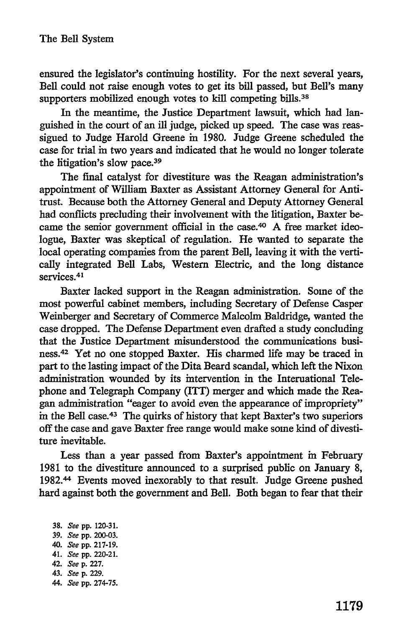ensured the legislator's continuing hostility. For the next several years, Bell could not raise enough votes to get its bill passed, but Bell's many supporters mobilized enough votes to kill competing bills.<sup>38</sup>

In the meantime, the Justice Department lawsuit, which had languished in the court of an ill judge, picked up speed. The case was reassigned to Judge Harold Greene in 1980. Judge Greene scheduled the case for trial in two years and indicated that he would no longer tolerate the litigation's slow pace.<sup>39</sup>

The final catalyst for divestiture was the Reagan administration's appointment of William Baxter as Assistant Attorney General for Antitrust. Because both the Attorney General and Deputy Attorney General had conflicts precluding their involvement with the litigation, Baxter became the semior government official in the case.<sup>40</sup> A free market ideologue, Baxter was skeptical of regulation. He wanted to separate the local operating companies from the parent Bell, leaving it with the vertically integrated Bell Labs, Western Electric, and the long distance services.<sup>41</sup>

Baxter lacked support in the Reagan administration. Some of the most powerful cabinet members, including Secretary of Defense Casper Weinberger and Secretary of Commerce Malcolm Baldridge, wanted the case dropped. The Defense Department even drafted a study concluding that the Justice Department misunderstood the communications business.42 Yet no one stopped Baxter. His charmed life may be traced in part to the lasting impact of the Dita Beard scandal, which left the Nixon administration wounded by its intervention in the International Telephone and Telegraph Company (ITT) merger and which made the Reagan administration "eager to avoid even the appearance of impropriety" in the Bell case. 43 The quirks of history that kept Baxter's two superiors off the case and gave Baxter free range would make some kind of divestiture mevitable.

Less than a year passed from Baxter's appointment in February 1981 to the divestiture announced to a surprised public on January 8, 1982.44 Events moved inexorably to that result. Judge Greene pushed hard against both the government and Bell. Both began to fear that their

**38.** See **pp. 120-31. 39.** See **pp. 200-03.** 40. See **pp. 217-19.** 41. See **pp.** 220-21. 42. See **p. 227.** 43. See **p. 229.** 44. See **pp.** 274-75.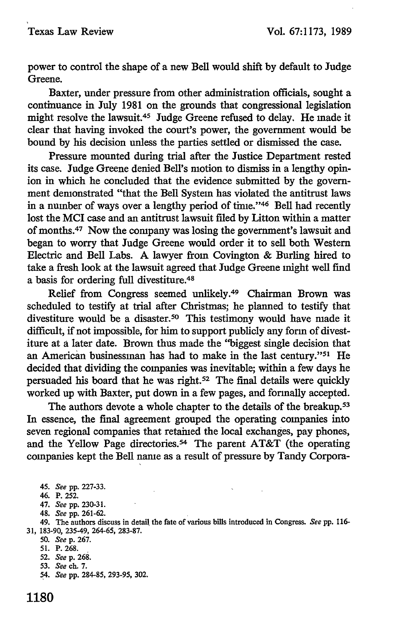power to control the shape of a new Bell would shift by default to Judge Greene.

Baxter, under pressure from other administration officials, sought a continuance in July 1981 on the grounds that congressional legislation might resolve the lawsuit.45 Judge Greene refused to delay. He made it clear that having invoked the court's power, the government would be bound by his decision unless the parties settled or dismissed the case.

Pressure mounted during trial after the Justice Department rested its case. Judge Greene denied Bell's motion to dismiss in a lengthy opinion in which he concluded that the evidence submitted by the government demonstrated "that the Bell System has violated the antitrust laws in a number of ways over a lengthy period of time."<sup>46</sup> Bell had recently lost the MCI case and an antitrust lawsuit filed by Litton within a matter of months.47 Now the company was losing the government's lawsuit and began to worry that Judge Greene would order it to sell both Western Electric and Bell Labs. A lawyer from Covington & Burling hired to take a fresh look at the lawsuit agreed that Judge Greene might well find a basis for ordering full divestiture.<sup>48</sup>

Relief from Congress seemed unlikely.49 Chairman Brown was scheduled to testify at trial after Christmas; he planned to testify that divestiture would be a disaster.<sup>50</sup> This testimony would have made it difficult, if not impossible, for him to support publicly any form of divestiture at a later date. Brown thus made the "biggest single decision that an American businessman has had to make in the last century."51 He decided that dividing the companies was inevitable; within a few days he persuaded his board that he was right.<sup>52</sup> The final details were quickly worked up with Baxter, put down in a few pages, and formally accepted.

The authors devote a whole chapter to the details of the breakup.<sup>53</sup> In essence, the final agreement grouped the operating companies into seven regional companies that retained the local exchanges, pay phones, and the Yellow Page directories.<sup>54</sup> The parent AT&T (the operating companies kept the Bell name as a result of pressure by Tandy Corpora-

48. *See* pp. 261-62.

*54. See* pp. 284-85, 293-95, 302.

<sup>45.</sup> *See* **pp. 227-33.**

<sup>46.</sup> P. **252.**

<sup>47.</sup> *See* pp. 230-31.

<sup>49.</sup> The authors discuss in detail the fate of various bills introduced in Congress. *See* **pp.** 116- 31, 183-90, 235-49, 264-65, 283-87.

*<sup>50.</sup> See* p. 267.

**<sup>51.</sup>** P. 268.

*<sup>52.</sup> See* p. 268.

*<sup>53.</sup> See* ch. 7.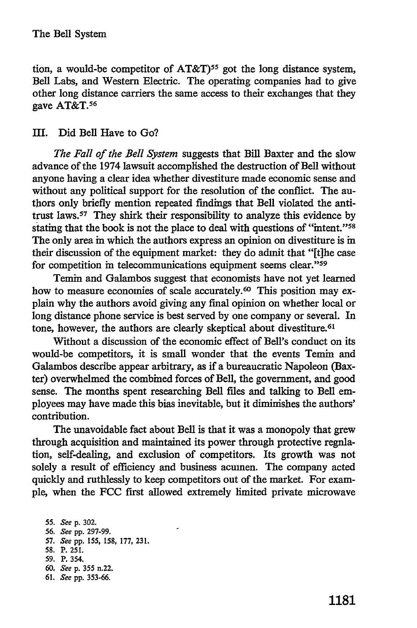tion, a would-be competitor of  $AT&T$ <sup>55</sup> got the long distance system, Bell Labs, and Western Electric. The operating companies had to give other long distance carriers the same access to their exchanges that they gave AT&T.<sup>56</sup>

#### III. Did Bell Have to Go?

*The Fall of the Bell System* suggests that Bill Baxter and the slow advance of the 1974 lawsuit accomplished the destruction of Bell without anyone having a clear idea whether divestiture made economic sense and without any political support for the resolution of the conflict. The authors only briefly mention repeated findings that Bell violated the antitrust laws.57 They shirk their responsibility to analyze this evidence by stating that the book is not the place to deal with questions of "intent."<sup>58</sup> The only area in which the authors express an opinion on divestiture is in their discussion of the equipment market: they do admit that "[t]he case for competition in telecommunications equipment seems clear."<sup>59</sup>

Temin and Galambos suggest that economists have not yet learned how to measure economies of scale accurately.<sup>60</sup> This position may explain why the authors avoid giving any final opinion on whether local or long distance phone service is best served by one company or several. In tone, however, the authors are clearly skeptical about divestiture.<sup>61</sup>

Without a discussion of the economic effect of Bell's conduct on its would-be competitors, it is small wonder that the events Temin and Galambos describe appear arbitrary, as if a bureaucratic Napoleon (Baxter) overwhelmed the combined forces of Bell, the government, and good sense. The months spent researching Bell files and talking to Bell employees may have made this bias inevitable, but it diminishes the authors' contribution.

The unavoidable fact about Bell is that it was a monopoly that grew through acquisition and maintained its power through protective regulation, self-dealing, and exclusion of competitors. Its growth was not solely a result of efficiency and business acumen. The company acted quickly and ruthlessly to keep competitors out of the market. For example, when the FCC first allowed extremely limited private microwave

**55.** See p. **302. 56.** See pp. 297-99. **57.** See pp. 155, 158, 177, 231. **58.** P. 251. *59.* P. **354.** *60.* See p. **355** n.22. 61. See pp. 353-66.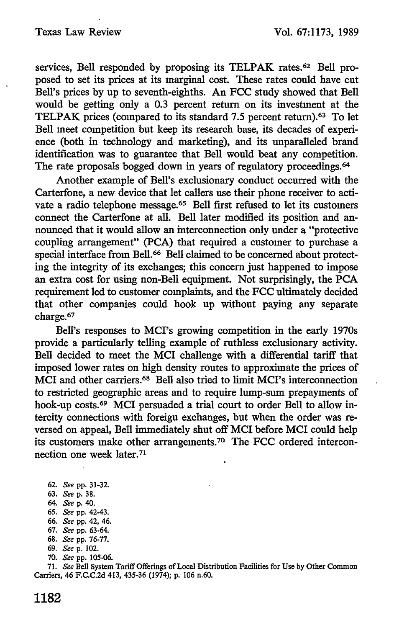services, Bell responded **by** proposing its TELPAK rates. 62 Bell proposed to set its prices at its marginal cost. These rates could have cut Bell's prices by up to seventh-eighths. An FCC study showed that Bell would be getting only a 0.3 percent return on its investment at the TELPAK prices (compared to its standard 7.5 percent return). 63 To let Bell meet competition but keep its research base, its decades of experience (both in technology and marketing), and its unparalleled brand identification was to guarantee that Bell would beat any competition. The rate proposals bogged down in years of regulatory proceedings.<sup>64</sup>

Another example of Bell's exclusionary conduct occurred with the Carterfone, a new device that let callers use their phone receiver to activate a radio telephone message.<sup>65</sup> Bell first refused to let its customers connect the Carterfone at all. Bell later modified its position and announced that it would allow an interconnection only under a "protective coupling arrangement" (PCA) that required a customer to purchase a special interface from Bell.<sup>66</sup> Bell claimed to be concerned about protecting the integrity of its exchanges; this concern just happened to impose an extra cost for using non-Bell equipment. Not surprisingly, the **PCA** requirement led to customer complaints, and the FCC ultimately decided that other companies could hook up without paying any separate charge.<sup>67</sup>

Bell's responses to MCI's growing competition in the early 1970s provide a particularly telling example of ruthless exclusionary activity. Bell decided to meet the MCI challenge with a differential tariff that imposed lower rates on high density routes to approximate the prices of MCI and other carriers.<sup>68</sup> Bell also tried to limit MCI's interconnection to restricted geographic areas and to require lump-sum prepayments of hook-up costs.<sup>69</sup> MCI persuaded a trial court to order Bell to allow intercity connections with foreign exchanges, but when the order was reversed on appeal, Bell immediately shut off MCI before MCI could help its customers make other arrangements.<sup>70</sup> The FCC ordered interconnection one week later.<sup>71</sup>

- **62.** See **pp. 31-32.**
- **63.** See p. 38.
- 64. See p. 40.
- **65.** See pp. 42-43.
- **66.** See pp. 42, 46.
- **67.** See pp. 63-64.
- **68.** See pp. 76-77.
- **69.** See p. 102.
- **70.** See pp. 105-06.

**71.** See Bell System Tariff Offerings of Local Distribution Facilities for Use **by** Other Common Carriers, 46 F.C.C.2d 413, 435-36 (1974); p. 106 n.60.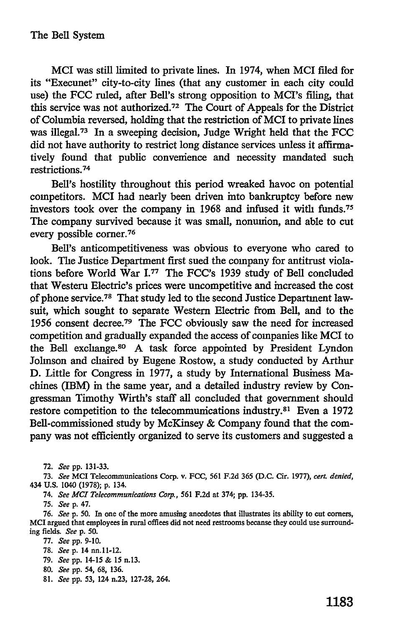MCI was still limited to private lines. In 1974, when MCI filed for its "Execunet" city-to-city lines (that any customer in each city could use) the FCC ruled, after Bell's strong opposition to MCI's filing, that this service was not authorized. 72 The Court of Appeals for the District of Columbia reversed, holding that the restriction of MCI to private lines was illegal.<sup>73</sup> In a sweeping decision, Judge Wright held that the FCC did not have authority to restrict long distance services unless it affirmatively found that public convenience and necessity mandated such restrictions. <sup>74</sup>

Bell's hostility throughout this period wreaked havoc on potential competitors. MCI had nearly been driven into bankruptcy before new investors took over the company in 1968 and infused it with funds. <sup>75</sup> The company survived because it was small, nonunion, and able to cut every possible **corner.7 <sup>6</sup>**

Bell's anticompetitiveness was obvious to everyone who cared to look. The Justice Department first sued the company for antitrust violations before World War **1.77** The FCC's 1939 study of Bell concluded that Western Electric's prices were uncompetitive and increased the cost of phone service. 78 That study led to the second Justice Department lawsuit, which sought to separate Western Electric from Bell, and to the 1956 consent decree.79 The FCC obviously saw the need for increased competition and gradually expanded the access of companies like MCI to the Bell exchange. **80** A task force appointed by President Lyndon Johnson and chaired by Eugene Rostow, a study conducted by Arthur D. Little for Congress in 1977, a study by International Business Machines (IBM) in the same year, and a detailed industry review by Congressman Timothy Wirth's staff all concluded that government should restore competition to the telecommunications industry.81 Even a 1972 Bell-commissioned study by McKinsey & Company found that the company was not efficiently organized to serve its customers and suggested a

**72.** *See* **pp. 131-33.**

**73.** *See* **MCI** Telecommunications Corp. **v. FCC, 561 F.2d 365 (D.C.** Cir. **1977),** *cert. denied,* 434 **U.S.** 1040 **(1978); p.** 134.

74. *See MCI Telecommunications Corp.,* 561 **F.2d** at 374; pp. 134-35.

*75. See* **p.** 47.

*76. See* **p. 50.** In one of the more amusing anecdotes that illustrates its ability to cut comers, **MCI** argued that employees in rural **offices** did not need restrooms because they could use surrounding fields. *See* **p. 50.**

**77.** *See* pp. 9-10.

**78.** *See* **p.** 14 nn.ll-12.

- **79.** *See* **pp.** 14-15 **& 15** n.13.
- **80.** *See* **pp.** *54,* **68, 136.**
- **81.** *See* **pp. 53,** 124 n.23, **127-28,** 264.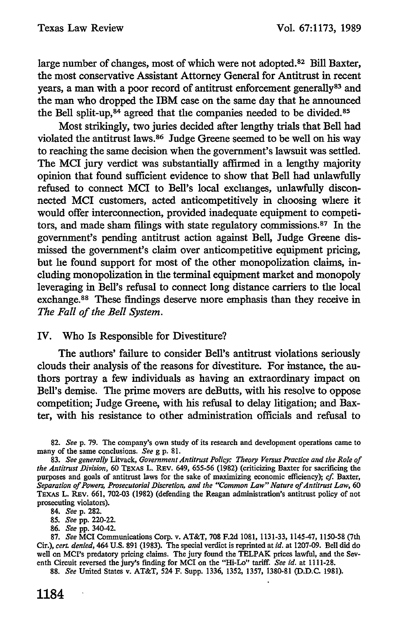large number of changes, most of which were not adopted.<sup>82</sup> Bill Baxter, the most conservative Assistant Attorney General for Antitrust in recent years, a man with a poor record of antitrust enforcement generally<sup>83</sup> and the man who dropped the IBM case on the same day that he announced the Bell split-up, 84 agreed that the companies needed to be divided.85

Most strikingly, two juries decided after lengthy trials that Bell had violated the antitrust laws.86 Judge Greene seemed to be well on his way to reaching the same decision when the government's lawsuit was settled. The MCI jury verdict was substantially affirmed in a lengthy majority opinion that found sufficient evidence to show that Bell had unlawfully refused to connect MCI to Bell's local exchanges, unlawfully disconnected MCI customers, acted anticompetitively in choosing where it would offer interconnection, provided inadequate equipment to competitors, and made sham filings with state regulatory commissions. 87 In the government's pending antitrust action against Bell, Judge Greene dismissed the government's claim over anticompetitive equipment pricing, but he found support for most of the other monopolization claims, including monopolization in the terminal equipment market and monopoly leveraging in Bell's refusal to connect long distance carriers to the local exchange. 88 These findings deserve more emphasis than they receive in *The Fall of the Bell System.*

#### IV. Who Is Responsible for Divestiture?

The authors' failure to consider Bell's antitrust violations seriously clouds their analysis of the reasons for divestiture. For instance, the authors portray a few individuals as having an extraordinary impact on Bell's demise. The prime movers are deButts, with his resolve to oppose competition; Judge Greene, with his refusal to delay litigation; and Baxter, with his resistance to other administration officials and refusal to

84. *See* p. 282.

85. *See* pp. 220-22.

86. *See* pp. 340-42.

**87.** *See* MCI Communications Corp. v. AT&T, 708 F.2d 1081, 1131-33, 1145-47, 1150-58 (7th Cir.), *cert denied,* 464 U.S. 891 (1983). The special verdict is reprinted at *id.* at 1207-09. Bell did do well on MCI's predatory pricing claims. The jury found the TELPAK prices lawful, and the Seventh Circuit reversed the jury's finding for MCI on the "Hi-Lo" tariff. *See id.* at 1111-28.

88. *See* United States v. AT&T, 524 F. Supp. 1336, 1352, 1357, 1380-81 (D.D.C. 1981).

**<sup>82.</sup>** *See* **p. 79.** The company's own study of its research and development operations came to many of the same conclusions. *See* g p. 81.

<sup>83.</sup> *See generally* Litvack, *Government Antitrust Policy: Theory Versus Practice and the Role of the Antitrust Division,* 60 **TEXAS** L. REv. 649, 655-56 (1982) (criticizing Baxter for sacrificing the purposes and goals of antitrust laws for the sake of maximizing economic efficiency); *cf.* Baxter, Separation of Powers, Prosecutorial Discretion, and the "Common Law" Nature of Antitrust Law, 60 TEXAS L. REV. 661, 702-03 (1982) (defending the Reagan administration's antitrust policy of not prosecuting violators).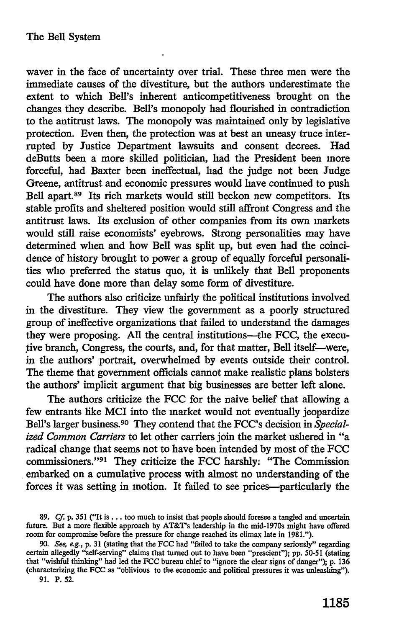waver in the face of uncertainty over trial. These three men were the immediate causes of the divestiture, but the authors underestimate the extent to which Bell's inherent anticompetitiveness brought on the changes they describe. Bell's monopoly had flourished in contradiction to the antitrust laws. The monopoly was maintained only by legislative protection. Even then, the protection was at best an uneasy truce interrupted by Justice Department lawsuits and consent decrees. Had deButts been a more skilled politician, had the President been more forceful, had Baxter been ineffectual, had the judge not been Judge Greene, antitrust and economic pressures would have continued to push Bell apart.89 Its rich markets would still beckon new competitors. Its stable profits and sheltered position would still affront Congress and the antitrust laws. Its exclusion of other companies from its own markets would still raise economists' eyebrows. Strong personalities may have determined when and how Bell was split up, but even had the coincidence of history brought to power a group of equally forceful personalities who preferred the status quo, it is unlikely that Bell proponents could have done more than delay some form of divestiture.

The authors also criticize unfairly the political institutions involved in the divestiture. They view the government as a poorly structured group of ineffective organizations that failed to understand the damages they were proposing. All the central institutions-the FCC, the executive branch, Congress, the courts, and, for that matter, Bell itself-were, in the authors' portrait, overwhelmed by events outside their control. The theme that government officials cannot make realistic plans bolsters the authors' implicit argument that big businesses are better left alone.

The authors criticize the FCC for the naive belief that allowing a few entrants like MCI into the market would not eventually jeopardize Bell's larger business. 90 They contend that the FCC's decision in *Specialized Common Carriers* to let other carriers join the market ushered in "a radical change that seems not to have been intended by most of the FCC commissioners."91 They criticize the FCC harshly: "The Commission embarked on a cumulative process with almost no understanding of the forces it was setting in motion. It failed to see prices-particularly the

**<sup>89.</sup> Cf.** p. **351** ("It is... too much to insist that people should foresee a tangled and uncertain future. But a more flexible approach by AT&T's leadership in the mid-1970s might have offered room for compromise before the pressure for change reached its climax late in 1981.").

<sup>90.</sup> See, eg., p. 31 (stating that the FCC had "failed to take the company seriously" regarding certain allegedly "self-serving" claims that turned out to have been "prescient"); pp. 50-51 (stating that "wishful thinking" had led the FCC bureau chief to "ignore the clear signs of danger"); p. 136 (characterizing the **FCC** as "oblivious to the economic and political pressures it was unleashing"). 91. P. 52.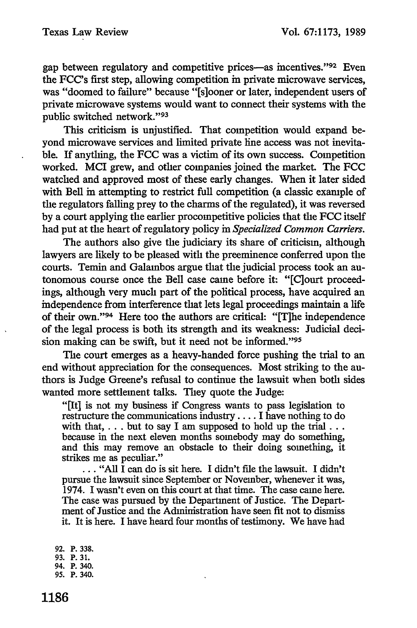gap between regulatory and competitive prices—as incentives."<sup>92</sup> Even the FCC's first step, allowing competition in private microwave services, was "doomed to failure" because "[s]ooner or later, independent users of private microwave systems would want to connect their systems with the public switched network."93

This criticism is unjustified. That competition would expand beyond microwave services and limited private line access was not inevitable. If anything, the FCC was a victim of its own success. Competition worked. MCI grew, and other companies joined the market. The FCC watched and approved most of these early changes. When it later sided with Bell in attempting to restrict full competition (a classic example of the regulators falling prey to the charms of the regulated), it was reversed by a court applying the earlier procompetitive policies that the FCC itself had put at the heart of regulatory policy in *Specialized Common Carriers.*

The authors also give the judiciary its share of criticism, although lawyers are likely to be pleased with the preeminence conferred upon the courts. Temin and Galambos argue that the judicial process took an autonomous course once the Bell case came before it: "[C]ourt proceedings, although very much part of the political process, have acquired an independence from interference that lets legal proceedings maintain a life of their own."<sup>94</sup> Here too the authors are critical: "[T]he independence of the legal process is both its strength and its weakness: Judicial decision making can be swift, but it need not be informed."<sup>95</sup>

The court emerges as a heavy-handed force pushing the trial to an end without appreciation for the consequences. Most striking to the authors is Judge Greene's refusal to continue the lawsuit when both sides wanted more settlement talks. They quote the Judge:

"[It] is not my business if Congress wants to pass legislation to restructure the communications industry .... I have nothing to do with that, **. . .** but to say I am supposed to hold up the trial... because in the next eleven months somebody may do something, and this may remove an obstacle to their doing something, it strikes me as peculiar."

**...** "All I can do is sit here. I didn't file the lawsuit. I didn't pursue the lawsuit since September or November, whenever it was, 1974. I wasn't even on this court at that time. The case came here. The case was pursued by the Department of Justice. The Department of Justice and the Administration have seen fit not to dismiss it. It is here. I have heard four months of testimony. We have had

92. P. 338. 93. P. 31. 94. P. 340. **95.** P. 340.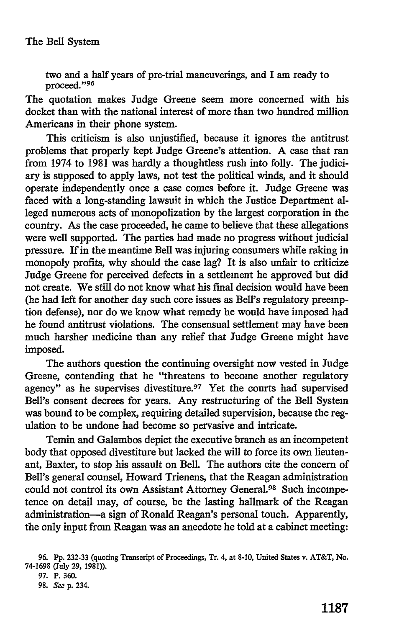two and a half years of pre-trial maneuverings, and I am ready to proceed."96

The quotation makes Judge Greene seem more concerned with his docket than with the national interest of more than two hundred million Americans in their phone system.

This criticism is also unjustified, because it ignores the antitrust problems that properly kept Judge Greene's attention. A case that ran from 1974 to 1981 was hardly a thoughtless rush into folly. The judiciary is supposed to apply laws, not test the political winds, and it should operate independently once a case comes before it. Judge Greene was faced with a long-standing lawsuit in which the Justice Department alleged numerous acts of monopolization by the largest corporation in the country. As the case proceeded, he came to believe that these allegations were well supported. The parties had made no progress without judicial pressure. If in the meantime Bell was injuring consumers while raking in monopoly profits, why should the case lag? It is also unfair to criticize Judge Greene for perceived defects in a settlement he approved but did not create. We still do not know what his final decision would have been (he had left for another day such core issues as Bell's regulatory preemption defense), nor do we know what remedy he would have imposed had he found antitrust violations. The consensual settlement may have been much harsher medicine than any relief that Judge Greene might have imposed.

The authors question the continuing oversight now vested in Judge Greene, contending that he "threatens to become another regulatory agency" as he supervises divestiture.<sup>97</sup> Yet the courts had supervised Bell's consent decrees for years. Any restructuring of the Bell System was bound to be complex, requiring detailed supervision, because the regulation to be undone had become so pervasive and intricate.

Temin and Galambos depict the executive branch as an incompetent body that opposed divestiture but lacked the will to force its own lieutenant, Baxter, to stop his assault on Bell. The authors cite the concern of Bell's general counsel, Howard Trienens, that the Reagan administration could not control its own Assistant Attorney General.<sup>98</sup> Such incompetence on detail may, of course, be the lasting hallmark of the Reagan administration-a sign of Ronald Reagan's personal touch. Apparently, the only input from Reagan was an anecdote he told at a cabinet meeting:

<sup>96.</sup> Pp. 232-33 (quoting Transcript of Proceedings, Tr. 4, at 8-10, United States v. AT&T, No. 74-1698 (July 29, 1981)).

<sup>97.</sup> P. 360.

**<sup>98.</sup>** See p. 234.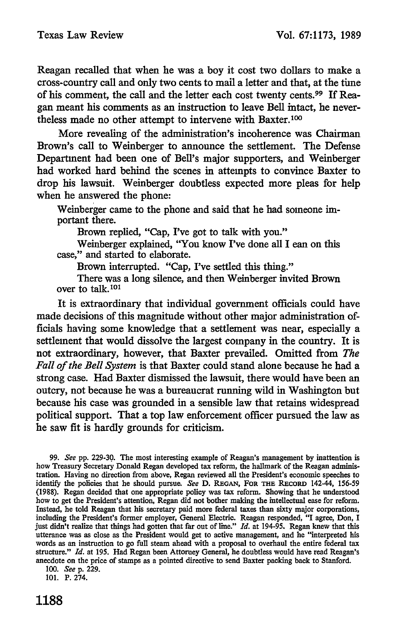Reagan recalled that when he was a boy it cost two dollars to make a cross-country call and only two cents to mail a letter and that, at the time of his comment, the call and the letter each cost twenty cents.99 If Reagan meant his comments as an instruction to leave Bell intact, he nevertheless made no other attempt to intervene with Baxter.<sup>100</sup>

More revealing of the administration's incoherence was Chairman Brown's call to Weinberger to announce the settlement. The Defense Department had been one of Bell's major supporters, and Weinberger had worked hard behind the scenes in attempts to convince Baxter to drop his lawsuit. Weinberger doubtless expected more pleas for help when he answered the phone:

Weinberger came to the phone and said that he had someone important there.

Brown replied, "Cap, I've got to talk with you."

Weinberger explained, "You know I've done all I can on this case," and started to elaborate.

Brown interrupted. "Cap, I've settled this thing."

There was a long silence, and then Weinberger invited Brown over to talk.101

It is extraordinary that individual government officials could have made decisions of this magnitude without other major administration officials having some knowledge that a settlement was near, especially a settlement that would dissolve the largest company in the country. It is not extraordinary, however, that Baxter prevailed. Omitted from *The Fall of the Bell System* is that Baxter could stand alone because he had a strong case. Had Baxter dismissed the lawsuit, there would have been an outcry, not because he was a bureaucrat running wild in Washington but because his case was grounded in a sensible law that retains widespread political support. That a top law enforcement officer pursued the law as he saw fit is hardly grounds for criticism.

**99.** *See* **pp.** 229-30. The most interesting example of Reagan's management **by** inattention is how Treasury Secretary Donald Regan developed tax reform, the hallmark of the Reagan administration. Having no direction from above, Regan reviewed all the President's economic speeches to identify the policies that he should pursue. *See* D. **REGAN,** FOR **THE RECORD** 142-44, 156-59 (1988). Regan decided that one appropriate policy was tax reform. Showing that he understood how to get the President's attention, Regan did not bother making the intellectual case for reform. Instead, he told Reagan that his secretary paid more federal taxes than sixty major corporations, including the President's former employer, General Electric. Reagan responded, "I agree, Don, I just didn't realize that things had gotten that far out of line." *Id.* at 194-95. Regan knew that this utterance was as close as the President would get to active management, and he "interpreted his words as an instruction to go full steam ahead with a proposal to overhaul the entire federal tax structure." *Id.* at 195. Had Regan been Attoruey General, he doubtless would have read Reagan's anecdote on the price of stamps as a pointed directive to send Baxter packing back to Stanford.

*100. See* p. 229.

101. P. 274.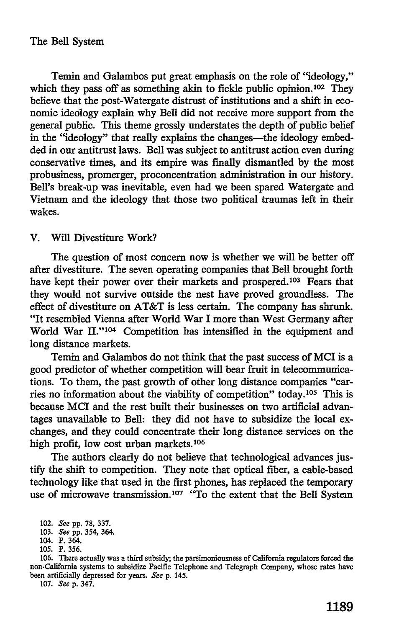Temin and Galambos put great emphasis on the role of "ideology," which they pass off as something akin to fickle public opinion.<sup>102</sup> They believe that the post-Watergate distrust of institutions and a shift in economic ideology explain why Bell did not receive more support from the general public. This theme grossly understates the depth of public belief in the "ideology" that really explains the changes-the ideology embedded in our antitrust laws. Bell was subject to antitrust action even during conservative times, and its empire was finally dismantled by the most probusiness, promerger, proconcentration administration in our history. Bell's break-up was inevitable, even had we been spared Watergate and Vietnam and the ideology that those two political traumas left in their wakes.

#### V. Will Divestiture Work?

The question of most concern now is whether we will be better off after divestiture. The seven operating companies that Bell brought forth have kept their power over their markets and prospered.<sup>103</sup> Fears that they would not survive outside the nest have proved groundless. The effect of divestiture on AT&T is less certain. The company has shrunk. "It resembled Vienna after World War I more than West Germany after World War II."104 Competition has intensified in the equipment and long distance markets.

Temin and Galambos do not think that the past success of MCI is a good predictor of whether competition will bear fruit in telecommunications. To them, the past growth of other long distance companies "carries no information about the viability of competition" today. 105 This is because MCI and the rest built their businesses on two artificial advantages unavailable to Bell: they did not have to subsidize the local exchanges, and they could concentrate their long distance services on the high profit, low cost urban markets.106

The authors clearly do not believe that technological advances justify the shift to competition. They note that optical fiber, a cable-based technology like that used in the first phones, has replaced the temporary use of microwave transmission. **107** "To the extent that the Bell System

107. See p. 347.

<sup>102.</sup> See pp. 78, 337.

<sup>103.</sup> See pp. 354, 364.

<sup>104.</sup> P. 364.

<sup>105.</sup> P. 356.

<sup>106.</sup> There actually was a third subsidy; the parsimoniousness of California regulators forced the non-California systems to subsidize Pacific Telephone and Telegraph Company, whose rates have been artificially depressed for years. See p. 145.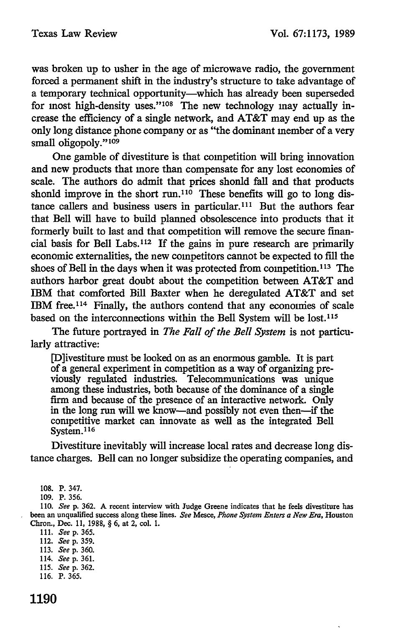was broken up to usher in the age of microwave radio, the government forced a permanent shift in the industry's structure to take advantage of a temporary technical opportunity-which has already been superseded for most high-density uses."<sup>108</sup> The new technology may actually increase the efficiency of a single network, and AT&T may end up as the only long distance phone company or as "the dominant member of a very small oligopoly."<sup>109</sup>

One gamble of divestiture is that competition will bring innovation and new products that more than compensate for any lost economies of scale. The authors do admit that prices should fall and that products should improve in the short run.<sup>110</sup> These benefits will go to long distance callers and business users in particular.111 But the authors fear that Bell will have to build planned obsolescence into products that it formerly built to last and that competition will remove the secure financial basis for Bell Labs. 112 If the gains in pure research are primarily economic externalities, the new competitors cannot be expected to fill the shoes of Bell in the days when it was protected from competition.11 3 The authors harbor great doubt about the competition between AT&T and IBM that comforted Bill Baxter when he deregulated AT&T and set IBM free.<sup>114</sup> Finally, the authors contend that any economies of scale based on the interconnections within the Bell System will be lost.115

The future portrayed in *The Fall of the Bell System* is not particularly attractive:

[D]ivestiture must be looked on as an enormous gamble. It is part of a general experiment in competition as a way of organizing previously regulated industries. Telecommunications was unique among these industries, both because of the dominance of a single firm and because of the presence of an interactive network. Only in the long run will we know-and possibly not even then-if the competitive market can innovate as well as the integrated Bell System.<sup>116</sup>

Divestiture inevitably will increase local rates and decrease long distance charges. Bell can no longer subsidize the operating companies, and

109. P. 356.

111. *See* p. 365.

112. *See* p. 359.

- 113. *See* p. 360.
- 114. *See* p. 361.
- 115. *See* p. 362.
- 116. P. 365.

<sup>108.</sup> P. 347.

<sup>110.</sup> *See* p. 362. A recent interview with Judge Greene indicates that he feels divestiture has been an unqualified success along these lines. *See Mesce, Phone System Enters a New Era,* Houston Chron., Dec. 11, 1988, § 6, at 2, col. I.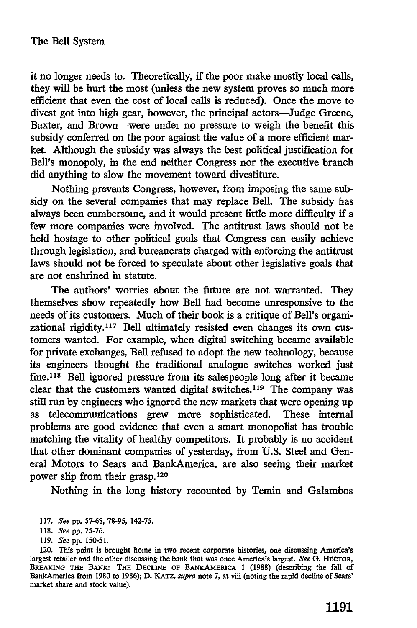it no longer needs to. Theoretically, if the poor make mostly local calls, they will be hurt the most (unless the new system proves so much more efficient that even the cost of local calls is reduced). Once the move to divest got into high gear, however, the principal actors-Judge Greene, Baxter, and Brown-were under no pressure to weigh the benefit this subsidy conferred on the poor against the value of a more efficient market. Although the subsidy was always the best political justification for Bell's monopoly, in the end neither Congress nor the executive branch did anything to slow the movement toward divestiture.

Nothing prevents Congress, however, from imposing the same subsidy on the several companies that may replace Bell. The subsidy has always been cumbersome, and it would present little more difficulty if a few more companies were involved. The antitrust laws should not be held hostage to other political goals that Congress can easily achieve through legislation, and bureaucrats charged with enforcing the antitrust laws should not be forced to speculate about other legislative goals that are not enshrined in statute.

The authors' worries about the future are not warranted. They themselves show repeatedly how Bell had become unresponsive to the needs of its customers. Much of their book is a critique of Bell's organizational rigidity. 117 Bell ultimately resisted even changes its own customers wanted. For example, when digital switching became available for private exchanges, Bell refused to adopt the new technology, because its engineers thought the traditional analogue switches worked just fine.118 Bell ignored pressure from its salespeople long after it became clear that the customers wanted digital switches.119 The company was still run by engineers who ignored the new markets that were opening up as telecommunications grew more sophisticated. These internal problems are good evidence that even a smart monopolist has trouble matching the vitality of healthy competitors. It probably is no accident that other dominant companies of yesterday, from U.S. Steel and General Motors to Sears and BankAmerica, are also seeing their market power slip from their grasp.<sup>120</sup>

Nothing in the long history recounted by Temin and Galambos

**119.** *See* pp. 150-51.

**<sup>117.</sup>** *See* pp. **57-68, 78-95,** 142-75.

<sup>118.</sup> *See* pp. **75-76.**

<sup>120.</sup> This point is brought home in two recent corporate histories, one discussing America's largest retailer and the other discussing the bank that was once America's largest. *See* **G.** HECTOR, **BREAKING THE BANK: THE DECLINE** OF BANKAMERICA **1** (1988) (describing the fall of BankAmerica from 1980 to 1986); D. *KATz, supra* note 7, at viii (noting the rapid decline of Sears' market share and stock value).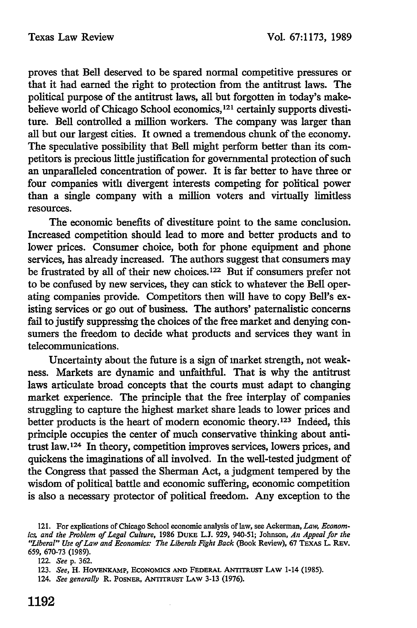proves that Bell deserved to be spared normal competitive pressures or that it had earned the right to protection from the antitrust laws. The political purpose of the antitrust laws, all but forgotten in today's makebelieve world of Chicago School economics,<sup>121</sup> certainly supports divestiture. Bell controlled a million workers. The company was larger than all but our largest cities. It owned a tremendous chunk of the economy. The speculative possibility that Bell might perform better than its competitors is precious little justification for governmental protection of such an unparalleled concentration of power. It is far better to have three or four companies with divergent interests competing for political power than a single company with a million voters and virtually limitless resources.

The economic benefits of divestiture point to the same conclusion. Increased competition should lead to more and better products and to lower prices. Consumer choice, both for phone equipment and phone services, has already increased. The authors suggest that consumers may be frustrated by all of their new choices. 122 But if consumers prefer not to be confused by new services, they can stick to whatever the Bell operating companies provide. Competitors then will have to copy Bell's existing services or go out of business. The authors' paternalistic concerns fail to justify suppressing the choices of the free market and denying consumers the freedom to decide what products and services they want in telecommunications.

Uncertainty about the future is a sign of market strength, not weakness. Markets are dynamic and unfaithful. That is why the antitrust laws articulate broad concepts that the courts must adapt to changing market experience. The principle that the free interplay of companies struggling to capture the highest market share leads to lower prices and better products is the heart of modem economic theory.123 Indeed, this principle occupies the center of much conservative thinking about antitrust law.124 In theory, competition improves services, lowers prices, and quickens the imaginations of all involved. In the well-tested judgment of the Congress that passed the Sherman Act, a judgment tempered by the wisdom of political battle and economic suffering, economic competition is also a necessary protector of political freedom. Any exception to the

<sup>121.</sup> For explications of Chicago School economic analysis of law, see Ackerman, *Law, Economics, and the Problem of Legal Culture,* 1986 **DUKE L.J.** 929, 940-51; Johnson, *An Appeal for the "Liberal" Use of Law and Economics: The Liberals Fight* Back (Book Review), **67 TExAs** L. REv. 659, 670-73 (1989).

<sup>122.</sup> *See* p. 362.

**<sup>123.</sup>** *See,* **H. HOVENKAMP, ECONOMICS AND FEDERAL ANTITRUST LAW** 1-14 **(1985).**

<sup>124.</sup> *See generally* R. POSNER, **ANTITRUST LAW** 3-13 (1976).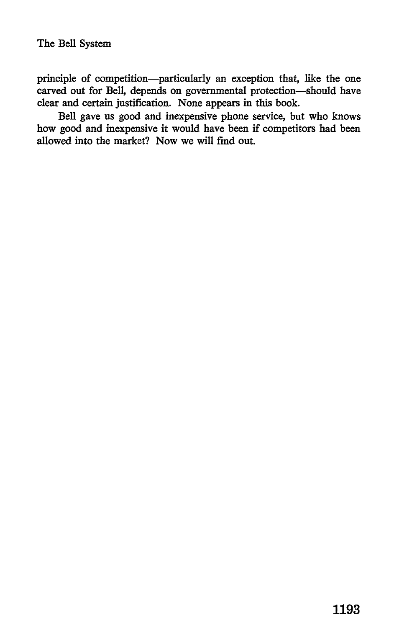principle of competition--particularly an exception that, like the one carved out for Bell, depends on governmental protection-should have clear and certain justification. None appears in this book.

Bell gave us good and inexpensive phone service, but who knows how good and inexpensive it would have been if competitors had been allowed into the market? Now we will find out.